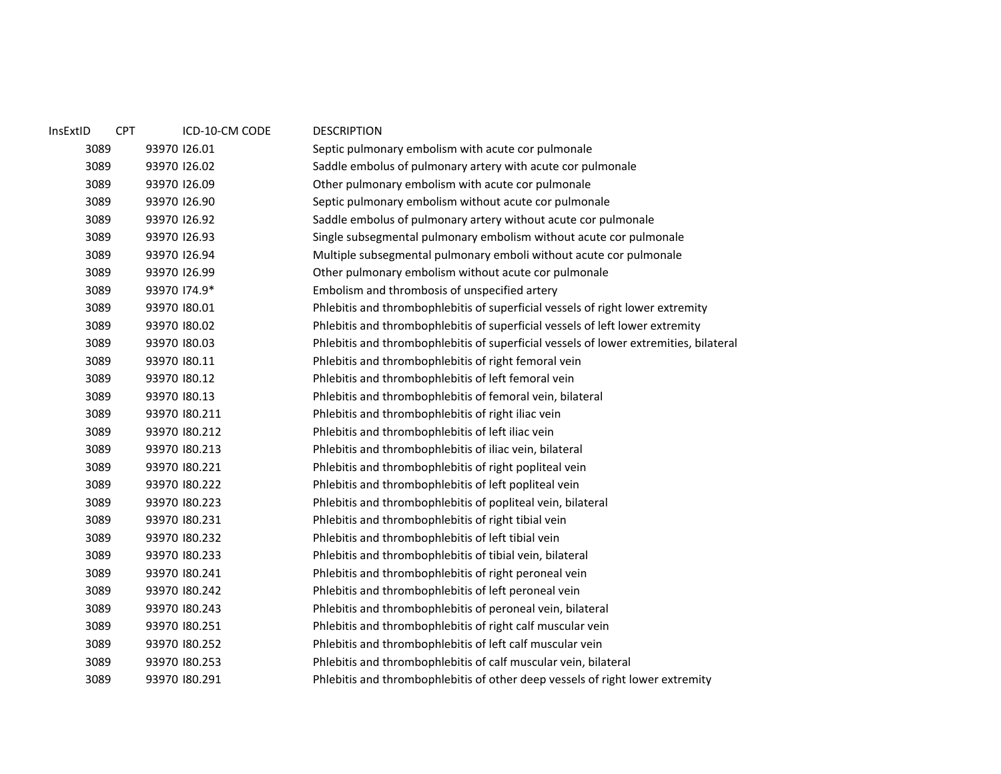| InsExtID | <b>CPT</b> |              | ICD-10-CM CODE | <b>DESCRIPTION</b>                                                                    |
|----------|------------|--------------|----------------|---------------------------------------------------------------------------------------|
| 3089     |            | 93970 126.01 |                | Septic pulmonary embolism with acute cor pulmonale                                    |
| 3089     |            | 93970 126.02 |                | Saddle embolus of pulmonary artery with acute cor pulmonale                           |
| 3089     |            | 93970 126.09 |                | Other pulmonary embolism with acute cor pulmonale                                     |
| 3089     |            | 93970 126.90 |                | Septic pulmonary embolism without acute cor pulmonale                                 |
| 3089     |            | 93970 126.92 |                | Saddle embolus of pulmonary artery without acute cor pulmonale                        |
| 3089     |            | 93970 126.93 |                | Single subsegmental pulmonary embolism without acute cor pulmonale                    |
| 3089     |            | 93970 126.94 |                | Multiple subsegmental pulmonary emboli without acute cor pulmonale                    |
| 3089     |            | 93970 126.99 |                | Other pulmonary embolism without acute cor pulmonale                                  |
| 3089     |            | 93970 174.9* |                | Embolism and thrombosis of unspecified artery                                         |
| 3089     |            | 93970 180.01 |                | Phlebitis and thrombophlebitis of superficial vessels of right lower extremity        |
| 3089     |            | 93970 180.02 |                | Phlebitis and thrombophlebitis of superficial vessels of left lower extremity         |
| 3089     |            | 93970 180.03 |                | Phlebitis and thrombophlebitis of superficial vessels of lower extremities, bilateral |
| 3089     |            | 93970 180.11 |                | Phlebitis and thrombophlebitis of right femoral vein                                  |
| 3089     |            | 93970 180.12 |                | Phlebitis and thrombophlebitis of left femoral vein                                   |
| 3089     |            | 93970 180.13 |                | Phlebitis and thrombophlebitis of femoral vein, bilateral                             |
| 3089     |            |              | 93970 180.211  | Phlebitis and thrombophlebitis of right iliac vein                                    |
| 3089     |            |              | 93970 180.212  | Phlebitis and thrombophlebitis of left iliac vein                                     |
| 3089     |            |              | 93970 180.213  | Phlebitis and thrombophlebitis of iliac vein, bilateral                               |
| 3089     |            |              | 93970 180.221  | Phlebitis and thrombophlebitis of right popliteal vein                                |
| 3089     |            |              | 93970 180.222  | Phlebitis and thrombophlebitis of left popliteal vein                                 |
| 3089     |            |              | 93970 180.223  | Phlebitis and thrombophlebitis of popliteal vein, bilateral                           |
| 3089     |            |              | 93970 180.231  | Phlebitis and thrombophlebitis of right tibial vein                                   |
| 3089     |            |              | 93970 180.232  | Phlebitis and thrombophlebitis of left tibial vein                                    |
| 3089     |            |              | 93970 180.233  | Phlebitis and thrombophlebitis of tibial vein, bilateral                              |
| 3089     |            |              | 93970 180.241  | Phlebitis and thrombophlebitis of right peroneal vein                                 |
| 3089     |            |              | 93970 180.242  | Phlebitis and thrombophlebitis of left peroneal vein                                  |
| 3089     |            |              | 93970 180.243  | Phlebitis and thrombophlebitis of peroneal vein, bilateral                            |
| 3089     |            |              | 93970 180.251  | Phlebitis and thrombophlebitis of right calf muscular vein                            |
| 3089     |            |              | 93970 180.252  | Phlebitis and thrombophlebitis of left calf muscular vein                             |
| 3089     |            |              | 93970 180.253  | Phlebitis and thrombophlebitis of calf muscular vein, bilateral                       |
| 3089     |            |              | 93970 180.291  | Phlebitis and thrombophlebitis of other deep vessels of right lower extremity         |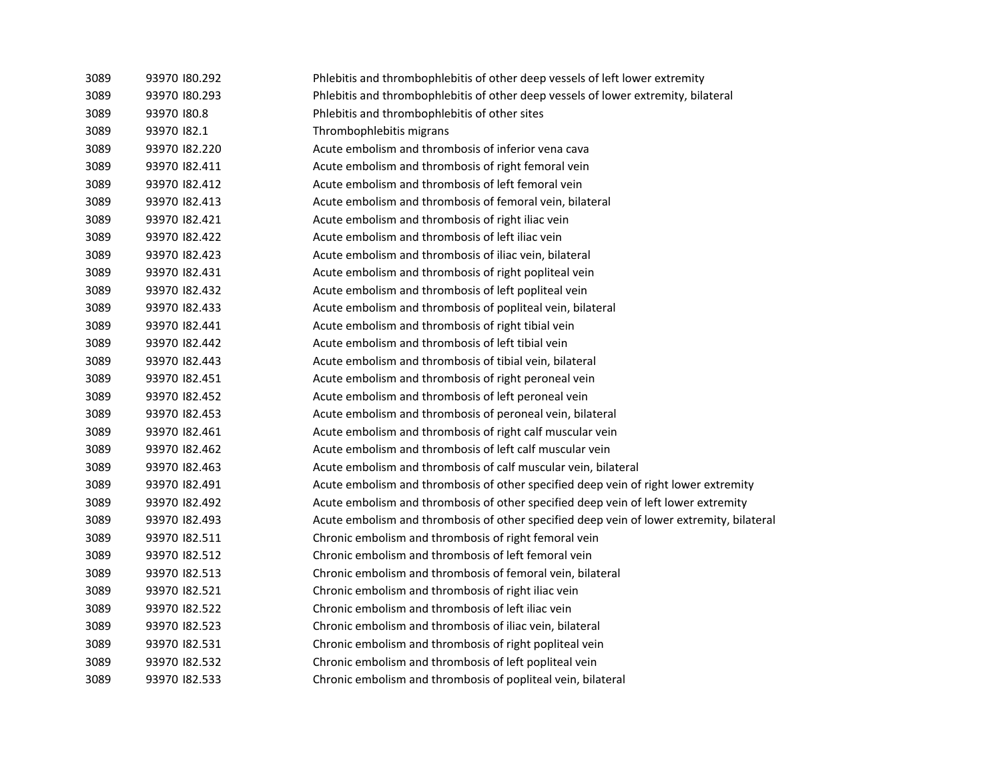| 3089 | 93970 180.292 | Phlebitis and thrombophlebitis of other deep vessels of left lower extremity             |
|------|---------------|------------------------------------------------------------------------------------------|
| 3089 | 93970 180.293 | Phlebitis and thrombophlebitis of other deep vessels of lower extremity, bilateral       |
| 3089 | 93970 180.8   | Phlebitis and thrombophlebitis of other sites                                            |
| 3089 | 93970 182.1   | Thrombophlebitis migrans                                                                 |
| 3089 | 93970 182.220 | Acute embolism and thrombosis of inferior vena cava                                      |
| 3089 | 93970 182.411 | Acute embolism and thrombosis of right femoral vein                                      |
| 3089 | 93970 182.412 | Acute embolism and thrombosis of left femoral vein                                       |
| 3089 | 93970 182.413 | Acute embolism and thrombosis of femoral vein, bilateral                                 |
| 3089 | 93970 182.421 | Acute embolism and thrombosis of right iliac vein                                        |
| 3089 | 93970 182.422 | Acute embolism and thrombosis of left iliac vein                                         |
| 3089 | 93970 182.423 | Acute embolism and thrombosis of iliac vein, bilateral                                   |
| 3089 | 93970 182.431 | Acute embolism and thrombosis of right popliteal vein                                    |
| 3089 | 93970 182.432 | Acute embolism and thrombosis of left popliteal vein                                     |
| 3089 | 93970 182.433 | Acute embolism and thrombosis of popliteal vein, bilateral                               |
| 3089 | 93970 182.441 | Acute embolism and thrombosis of right tibial vein                                       |
| 3089 | 93970 182.442 | Acute embolism and thrombosis of left tibial vein                                        |
| 3089 | 93970 182.443 | Acute embolism and thrombosis of tibial vein, bilateral                                  |
| 3089 | 93970 182.451 | Acute embolism and thrombosis of right peroneal vein                                     |
| 3089 | 93970 182.452 | Acute embolism and thrombosis of left peroneal vein                                      |
| 3089 | 93970 182.453 | Acute embolism and thrombosis of peroneal vein, bilateral                                |
| 3089 | 93970 182.461 | Acute embolism and thrombosis of right calf muscular vein                                |
| 3089 | 93970 182.462 | Acute embolism and thrombosis of left calf muscular vein                                 |
| 3089 | 93970 182.463 | Acute embolism and thrombosis of calf muscular vein, bilateral                           |
| 3089 | 93970 182.491 | Acute embolism and thrombosis of other specified deep vein of right lower extremity      |
| 3089 | 93970 182.492 | Acute embolism and thrombosis of other specified deep vein of left lower extremity       |
| 3089 | 93970 182.493 | Acute embolism and thrombosis of other specified deep vein of lower extremity, bilateral |
| 3089 | 93970 182.511 | Chronic embolism and thrombosis of right femoral vein                                    |
| 3089 | 93970 182.512 | Chronic embolism and thrombosis of left femoral vein                                     |
| 3089 | 93970 182.513 | Chronic embolism and thrombosis of femoral vein, bilateral                               |
| 3089 | 93970 182.521 | Chronic embolism and thrombosis of right iliac vein                                      |
| 3089 | 93970 182.522 | Chronic embolism and thrombosis of left iliac vein                                       |
| 3089 | 93970 182.523 | Chronic embolism and thrombosis of iliac vein, bilateral                                 |
| 3089 | 93970 182.531 | Chronic embolism and thrombosis of right popliteal vein                                  |
| 3089 | 93970 182.532 | Chronic embolism and thrombosis of left popliteal vein                                   |
| 3089 | 93970 182.533 | Chronic embolism and thrombosis of popliteal vein, bilateral                             |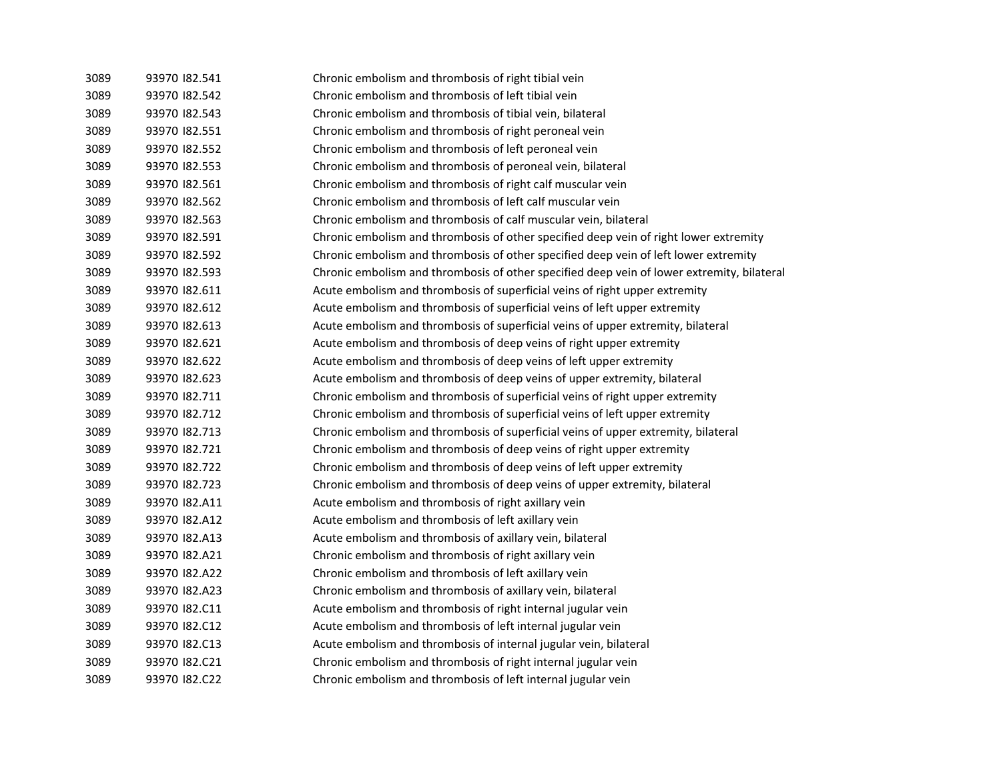| 3089 | 93970 182.541 | Chronic embolism and thrombosis of right tibial vein                                       |
|------|---------------|--------------------------------------------------------------------------------------------|
| 3089 | 93970 182.542 | Chronic embolism and thrombosis of left tibial vein                                        |
| 3089 | 93970 182.543 | Chronic embolism and thrombosis of tibial vein, bilateral                                  |
| 3089 | 93970 182.551 | Chronic embolism and thrombosis of right peroneal vein                                     |
| 3089 | 93970 182.552 | Chronic embolism and thrombosis of left peroneal vein                                      |
| 3089 | 93970 182.553 | Chronic embolism and thrombosis of peroneal vein, bilateral                                |
| 3089 | 93970 182.561 | Chronic embolism and thrombosis of right calf muscular vein                                |
| 3089 | 93970 182.562 | Chronic embolism and thrombosis of left calf muscular vein                                 |
| 3089 | 93970 182.563 | Chronic embolism and thrombosis of calf muscular vein, bilateral                           |
| 3089 | 93970 182.591 | Chronic embolism and thrombosis of other specified deep vein of right lower extremity      |
| 3089 | 93970 182.592 | Chronic embolism and thrombosis of other specified deep vein of left lower extremity       |
| 3089 | 93970 182.593 | Chronic embolism and thrombosis of other specified deep vein of lower extremity, bilateral |
| 3089 | 93970 182.611 | Acute embolism and thrombosis of superficial veins of right upper extremity                |
| 3089 | 93970 182.612 | Acute embolism and thrombosis of superficial veins of left upper extremity                 |
| 3089 | 93970 182.613 | Acute embolism and thrombosis of superficial veins of upper extremity, bilateral           |
| 3089 | 93970 182.621 | Acute embolism and thrombosis of deep veins of right upper extremity                       |
| 3089 | 93970 182.622 | Acute embolism and thrombosis of deep veins of left upper extremity                        |
| 3089 | 93970 182.623 | Acute embolism and thrombosis of deep veins of upper extremity, bilateral                  |
| 3089 | 93970 182.711 | Chronic embolism and thrombosis of superficial veins of right upper extremity              |
| 3089 | 93970 182.712 | Chronic embolism and thrombosis of superficial veins of left upper extremity               |
| 3089 | 93970 182.713 | Chronic embolism and thrombosis of superficial veins of upper extremity, bilateral         |
| 3089 | 93970 182.721 | Chronic embolism and thrombosis of deep veins of right upper extremity                     |
| 3089 | 93970 182.722 | Chronic embolism and thrombosis of deep veins of left upper extremity                      |
| 3089 | 93970 182.723 | Chronic embolism and thrombosis of deep veins of upper extremity, bilateral                |
| 3089 | 93970 I82.A11 | Acute embolism and thrombosis of right axillary vein                                       |
| 3089 | 93970 I82.A12 | Acute embolism and thrombosis of left axillary vein                                        |
| 3089 | 93970 I82.A13 | Acute embolism and thrombosis of axillary vein, bilateral                                  |
| 3089 | 93970 I82.A21 | Chronic embolism and thrombosis of right axillary vein                                     |
| 3089 | 93970 I82.A22 | Chronic embolism and thrombosis of left axillary vein                                      |
| 3089 | 93970 I82.A23 | Chronic embolism and thrombosis of axillary vein, bilateral                                |
| 3089 | 93970 I82.C11 | Acute embolism and thrombosis of right internal jugular vein                               |
| 3089 | 93970 I82.C12 | Acute embolism and thrombosis of left internal jugular vein                                |
| 3089 | 93970 I82.C13 | Acute embolism and thrombosis of internal jugular vein, bilateral                          |
| 3089 | 93970 I82.C21 | Chronic embolism and thrombosis of right internal jugular vein                             |
| 3089 | 93970 182.C22 | Chronic embolism and thrombosis of left internal jugular vein                              |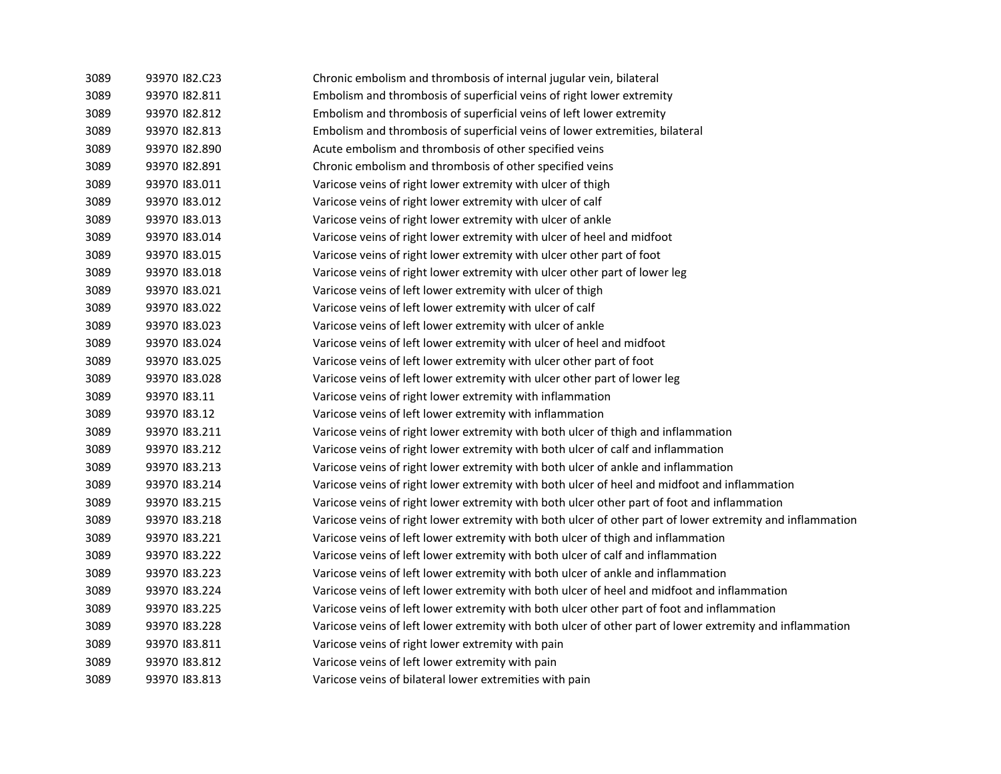| 3089 | 93970 182.C23 | Chronic embolism and thrombosis of internal jugular vein, bilateral                                       |
|------|---------------|-----------------------------------------------------------------------------------------------------------|
| 3089 | 93970 182.811 | Embolism and thrombosis of superficial veins of right lower extremity                                     |
| 3089 | 93970 182.812 | Embolism and thrombosis of superficial veins of left lower extremity                                      |
| 3089 | 93970 182.813 | Embolism and thrombosis of superficial veins of lower extremities, bilateral                              |
| 3089 | 93970 182.890 | Acute embolism and thrombosis of other specified veins                                                    |
| 3089 | 93970 182.891 | Chronic embolism and thrombosis of other specified veins                                                  |
| 3089 | 93970 183.011 | Varicose veins of right lower extremity with ulcer of thigh                                               |
| 3089 | 93970 183.012 | Varicose veins of right lower extremity with ulcer of calf                                                |
| 3089 | 93970 183.013 | Varicose veins of right lower extremity with ulcer of ankle                                               |
| 3089 | 93970 183.014 | Varicose veins of right lower extremity with ulcer of heel and midfoot                                    |
| 3089 | 93970 183.015 | Varicose veins of right lower extremity with ulcer other part of foot                                     |
| 3089 | 93970 183.018 | Varicose veins of right lower extremity with ulcer other part of lower leg                                |
| 3089 | 93970 183.021 | Varicose veins of left lower extremity with ulcer of thigh                                                |
| 3089 | 93970 183.022 | Varicose veins of left lower extremity with ulcer of calf                                                 |
| 3089 | 93970 183.023 | Varicose veins of left lower extremity with ulcer of ankle                                                |
| 3089 | 93970 183.024 | Varicose veins of left lower extremity with ulcer of heel and midfoot                                     |
| 3089 | 93970 183.025 | Varicose veins of left lower extremity with ulcer other part of foot                                      |
| 3089 | 93970 183.028 | Varicose veins of left lower extremity with ulcer other part of lower leg                                 |
| 3089 | 93970 183.11  | Varicose veins of right lower extremity with inflammation                                                 |
| 3089 | 93970 183.12  | Varicose veins of left lower extremity with inflammation                                                  |
| 3089 | 93970 183.211 | Varicose veins of right lower extremity with both ulcer of thigh and inflammation                         |
| 3089 | 93970 183.212 | Varicose veins of right lower extremity with both ulcer of calf and inflammation                          |
| 3089 | 93970 183.213 | Varicose veins of right lower extremity with both ulcer of ankle and inflammation                         |
| 3089 | 93970 183.214 | Varicose veins of right lower extremity with both ulcer of heel and midfoot and inflammation              |
| 3089 | 93970 183.215 | Varicose veins of right lower extremity with both ulcer other part of foot and inflammation               |
| 3089 | 93970 183.218 | Varicose veins of right lower extremity with both ulcer of other part of lower extremity and inflammation |
| 3089 | 93970 183.221 | Varicose veins of left lower extremity with both ulcer of thigh and inflammation                          |
| 3089 | 93970 183.222 | Varicose veins of left lower extremity with both ulcer of calf and inflammation                           |
| 3089 | 93970 183.223 | Varicose veins of left lower extremity with both ulcer of ankle and inflammation                          |
| 3089 | 93970 183.224 | Varicose veins of left lower extremity with both ulcer of heel and midfoot and inflammation               |
| 3089 | 93970 183.225 | Varicose veins of left lower extremity with both ulcer other part of foot and inflammation                |
| 3089 | 93970 183.228 | Varicose veins of left lower extremity with both ulcer of other part of lower extremity and inflammation  |
| 3089 | 93970 183.811 | Varicose veins of right lower extremity with pain                                                         |
| 3089 | 93970 183.812 | Varicose veins of left lower extremity with pain                                                          |
| 3089 | 93970 183.813 | Varicose veins of bilateral lower extremities with pain                                                   |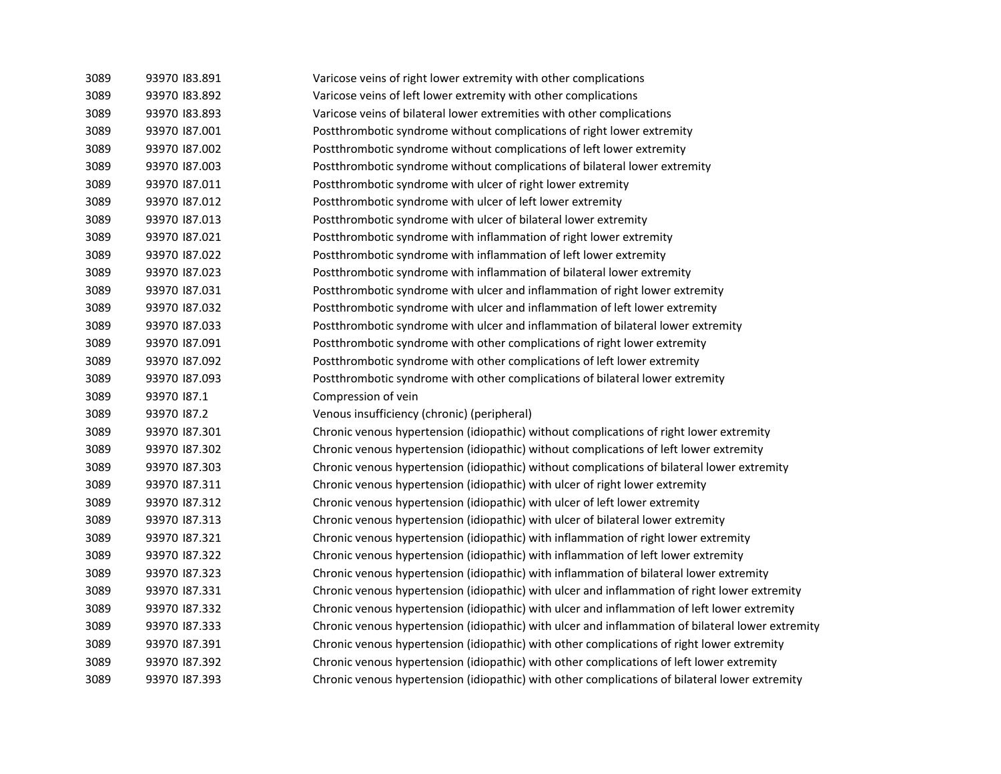| 3089 | 93970 183.891 | Varicose veins of right lower extremity with other complications                                  |
|------|---------------|---------------------------------------------------------------------------------------------------|
| 3089 | 93970 183.892 | Varicose veins of left lower extremity with other complications                                   |
| 3089 | 93970 183.893 | Varicose veins of bilateral lower extremities with other complications                            |
| 3089 | 93970 187.001 | Postthrombotic syndrome without complications of right lower extremity                            |
| 3089 | 93970 187.002 | Postthrombotic syndrome without complications of left lower extremity                             |
| 3089 | 93970 187.003 | Postthrombotic syndrome without complications of bilateral lower extremity                        |
| 3089 | 93970 187.011 | Postthrombotic syndrome with ulcer of right lower extremity                                       |
| 3089 | 93970 187.012 | Postthrombotic syndrome with ulcer of left lower extremity                                        |
| 3089 | 93970 187.013 | Postthrombotic syndrome with ulcer of bilateral lower extremity                                   |
| 3089 | 93970 187.021 | Postthrombotic syndrome with inflammation of right lower extremity                                |
| 3089 | 93970 187.022 | Postthrombotic syndrome with inflammation of left lower extremity                                 |
| 3089 | 93970 187.023 | Postthrombotic syndrome with inflammation of bilateral lower extremity                            |
| 3089 | 93970 187.031 | Postthrombotic syndrome with ulcer and inflammation of right lower extremity                      |
| 3089 | 93970 187.032 | Postthrombotic syndrome with ulcer and inflammation of left lower extremity                       |
| 3089 | 93970 187.033 | Postthrombotic syndrome with ulcer and inflammation of bilateral lower extremity                  |
| 3089 | 93970 187.091 | Postthrombotic syndrome with other complications of right lower extremity                         |
| 3089 | 93970 187.092 | Postthrombotic syndrome with other complications of left lower extremity                          |
| 3089 | 93970 187.093 | Postthrombotic syndrome with other complications of bilateral lower extremity                     |
| 3089 | 93970 187.1   | Compression of vein                                                                               |
| 3089 | 93970 187.2   | Venous insufficiency (chronic) (peripheral)                                                       |
| 3089 | 93970 187.301 | Chronic venous hypertension (idiopathic) without complications of right lower extremity           |
| 3089 | 93970 187.302 | Chronic venous hypertension (idiopathic) without complications of left lower extremity            |
| 3089 | 93970 187.303 | Chronic venous hypertension (idiopathic) without complications of bilateral lower extremity       |
| 3089 | 93970 187.311 | Chronic venous hypertension (idiopathic) with ulcer of right lower extremity                      |
| 3089 | 93970 187.312 | Chronic venous hypertension (idiopathic) with ulcer of left lower extremity                       |
| 3089 | 93970 187.313 | Chronic venous hypertension (idiopathic) with ulcer of bilateral lower extremity                  |
| 3089 | 93970 187.321 | Chronic venous hypertension (idiopathic) with inflammation of right lower extremity               |
| 3089 | 93970 187.322 | Chronic venous hypertension (idiopathic) with inflammation of left lower extremity                |
| 3089 | 93970 187.323 | Chronic venous hypertension (idiopathic) with inflammation of bilateral lower extremity           |
| 3089 | 93970 187.331 | Chronic venous hypertension (idiopathic) with ulcer and inflammation of right lower extremity     |
| 3089 | 93970 187.332 | Chronic venous hypertension (idiopathic) with ulcer and inflammation of left lower extremity      |
| 3089 | 93970 187.333 | Chronic venous hypertension (idiopathic) with ulcer and inflammation of bilateral lower extremity |
| 3089 | 93970 187.391 | Chronic venous hypertension (idiopathic) with other complications of right lower extremity        |
| 3089 | 93970 187.392 | Chronic venous hypertension (idiopathic) with other complications of left lower extremity         |
| 3089 | 93970 187.393 | Chronic venous hypertension (idiopathic) with other complications of bilateral lower extremity    |
|      |               |                                                                                                   |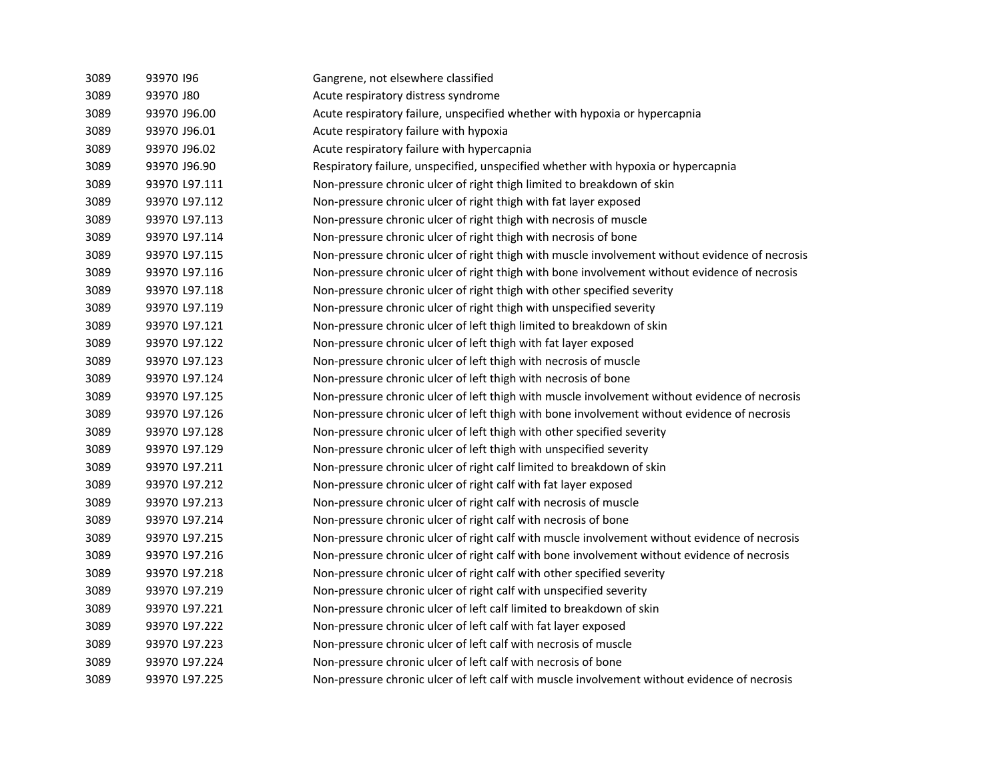| 3089 | 93970 196     | Gangrene, not elsewhere classified                                                             |
|------|---------------|------------------------------------------------------------------------------------------------|
| 3089 | 93970 J80     | Acute respiratory distress syndrome                                                            |
| 3089 | 93970 J96.00  | Acute respiratory failure, unspecified whether with hypoxia or hypercapnia                     |
| 3089 | 93970 J96.01  | Acute respiratory failure with hypoxia                                                         |
| 3089 | 93970 J96.02  | Acute respiratory failure with hypercapnia                                                     |
| 3089 | 93970 J96.90  | Respiratory failure, unspecified, unspecified whether with hypoxia or hypercapnia              |
| 3089 | 93970 L97.111 | Non-pressure chronic ulcer of right thigh limited to breakdown of skin                         |
| 3089 | 93970 L97.112 | Non-pressure chronic ulcer of right thigh with fat layer exposed                               |
| 3089 | 93970 L97.113 | Non-pressure chronic ulcer of right thigh with necrosis of muscle                              |
| 3089 | 93970 L97.114 | Non-pressure chronic ulcer of right thigh with necrosis of bone                                |
| 3089 | 93970 L97.115 | Non-pressure chronic ulcer of right thigh with muscle involvement without evidence of necrosis |
| 3089 | 93970 L97.116 | Non-pressure chronic ulcer of right thigh with bone involvement without evidence of necrosis   |
| 3089 | 93970 L97.118 | Non-pressure chronic ulcer of right thigh with other specified severity                        |
| 3089 | 93970 L97.119 | Non-pressure chronic ulcer of right thigh with unspecified severity                            |
| 3089 | 93970 L97.121 | Non-pressure chronic ulcer of left thigh limited to breakdown of skin                          |
| 3089 | 93970 L97.122 | Non-pressure chronic ulcer of left thigh with fat layer exposed                                |
| 3089 | 93970 L97.123 | Non-pressure chronic ulcer of left thigh with necrosis of muscle                               |
| 3089 | 93970 L97.124 | Non-pressure chronic ulcer of left thigh with necrosis of bone                                 |
| 3089 | 93970 L97.125 | Non-pressure chronic ulcer of left thigh with muscle involvement without evidence of necrosis  |
| 3089 | 93970 L97.126 | Non-pressure chronic ulcer of left thigh with bone involvement without evidence of necrosis    |
| 3089 | 93970 L97.128 | Non-pressure chronic ulcer of left thigh with other specified severity                         |
| 3089 | 93970 L97.129 | Non-pressure chronic ulcer of left thigh with unspecified severity                             |
| 3089 | 93970 L97.211 | Non-pressure chronic ulcer of right calf limited to breakdown of skin                          |
| 3089 | 93970 L97.212 | Non-pressure chronic ulcer of right calf with fat layer exposed                                |
| 3089 | 93970 L97.213 | Non-pressure chronic ulcer of right calf with necrosis of muscle                               |
| 3089 | 93970 L97.214 | Non-pressure chronic ulcer of right calf with necrosis of bone                                 |
| 3089 | 93970 L97.215 | Non-pressure chronic ulcer of right calf with muscle involvement without evidence of necrosis  |
| 3089 | 93970 L97.216 | Non-pressure chronic ulcer of right calf with bone involvement without evidence of necrosis    |
| 3089 | 93970 L97.218 | Non-pressure chronic ulcer of right calf with other specified severity                         |
| 3089 | 93970 L97.219 | Non-pressure chronic ulcer of right calf with unspecified severity                             |
| 3089 | 93970 L97.221 | Non-pressure chronic ulcer of left calf limited to breakdown of skin                           |
| 3089 | 93970 L97.222 | Non-pressure chronic ulcer of left calf with fat layer exposed                                 |
| 3089 | 93970 L97.223 | Non-pressure chronic ulcer of left calf with necrosis of muscle                                |
| 3089 | 93970 L97.224 | Non-pressure chronic ulcer of left calf with necrosis of bone                                  |
| 3089 | 93970 L97.225 | Non-pressure chronic ulcer of left calf with muscle involvement without evidence of necrosis   |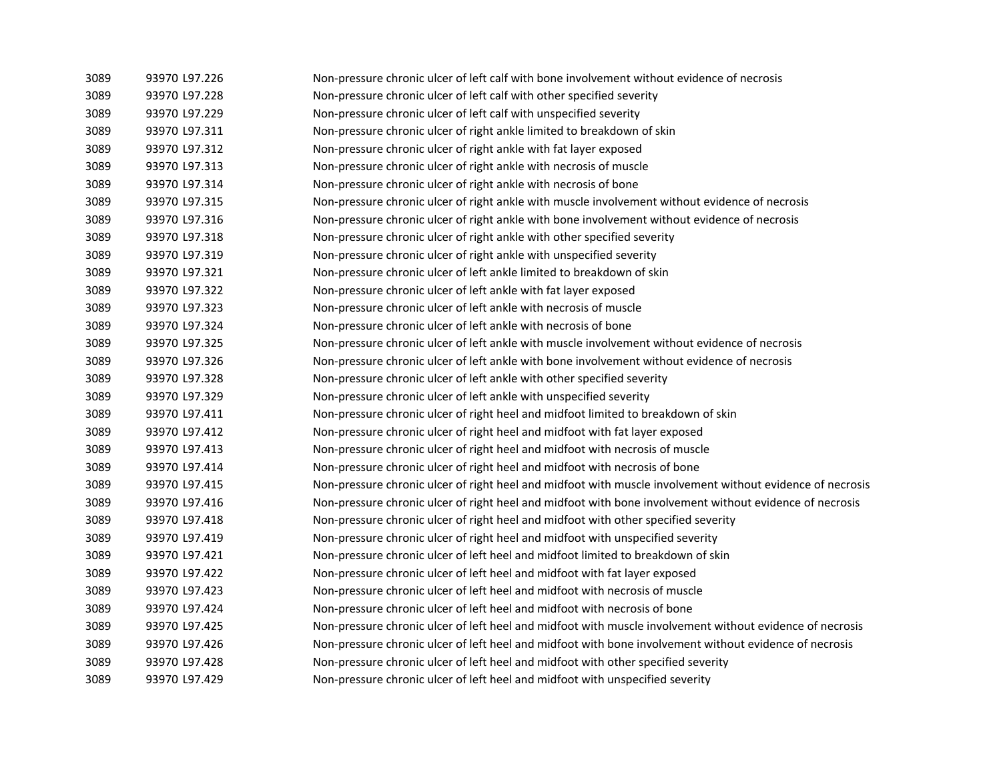| 3089 | 93970 L97.226 | Non-pressure chronic ulcer of left calf with bone involvement without evidence of necrosis                |
|------|---------------|-----------------------------------------------------------------------------------------------------------|
| 3089 | 93970 L97.228 | Non-pressure chronic ulcer of left calf with other specified severity                                     |
| 3089 | 93970 L97.229 | Non-pressure chronic ulcer of left calf with unspecified severity                                         |
| 3089 | 93970 L97.311 | Non-pressure chronic ulcer of right ankle limited to breakdown of skin                                    |
| 3089 | 93970 L97.312 | Non-pressure chronic ulcer of right ankle with fat layer exposed                                          |
| 3089 | 93970 L97.313 | Non-pressure chronic ulcer of right ankle with necrosis of muscle                                         |
| 3089 | 93970 L97.314 | Non-pressure chronic ulcer of right ankle with necrosis of bone                                           |
| 3089 | 93970 L97.315 | Non-pressure chronic ulcer of right ankle with muscle involvement without evidence of necrosis            |
| 3089 | 93970 L97.316 | Non-pressure chronic ulcer of right ankle with bone involvement without evidence of necrosis              |
| 3089 | 93970 L97.318 | Non-pressure chronic ulcer of right ankle with other specified severity                                   |
| 3089 | 93970 L97.319 | Non-pressure chronic ulcer of right ankle with unspecified severity                                       |
| 3089 | 93970 L97.321 | Non-pressure chronic ulcer of left ankle limited to breakdown of skin                                     |
| 3089 | 93970 L97.322 | Non-pressure chronic ulcer of left ankle with fat layer exposed                                           |
| 3089 | 93970 L97.323 | Non-pressure chronic ulcer of left ankle with necrosis of muscle                                          |
| 3089 | 93970 L97.324 | Non-pressure chronic ulcer of left ankle with necrosis of bone                                            |
| 3089 | 93970 L97.325 | Non-pressure chronic ulcer of left ankle with muscle involvement without evidence of necrosis             |
| 3089 | 93970 L97.326 | Non-pressure chronic ulcer of left ankle with bone involvement without evidence of necrosis               |
| 3089 | 93970 L97.328 | Non-pressure chronic ulcer of left ankle with other specified severity                                    |
| 3089 | 93970 L97.329 | Non-pressure chronic ulcer of left ankle with unspecified severity                                        |
| 3089 | 93970 L97.411 | Non-pressure chronic ulcer of right heel and midfoot limited to breakdown of skin                         |
| 3089 | 93970 L97.412 | Non-pressure chronic ulcer of right heel and midfoot with fat layer exposed                               |
| 3089 | 93970 L97.413 | Non-pressure chronic ulcer of right heel and midfoot with necrosis of muscle                              |
| 3089 | 93970 L97.414 | Non-pressure chronic ulcer of right heel and midfoot with necrosis of bone                                |
| 3089 | 93970 L97.415 | Non-pressure chronic ulcer of right heel and midfoot with muscle involvement without evidence of necrosis |
| 3089 | 93970 L97.416 | Non-pressure chronic ulcer of right heel and midfoot with bone involvement without evidence of necrosis   |
| 3089 | 93970 L97.418 | Non-pressure chronic ulcer of right heel and midfoot with other specified severity                        |
| 3089 | 93970 L97.419 | Non-pressure chronic ulcer of right heel and midfoot with unspecified severity                            |
| 3089 | 93970 L97.421 | Non-pressure chronic ulcer of left heel and midfoot limited to breakdown of skin                          |
| 3089 | 93970 L97.422 | Non-pressure chronic ulcer of left heel and midfoot with fat layer exposed                                |
| 3089 | 93970 L97.423 | Non-pressure chronic ulcer of left heel and midfoot with necrosis of muscle                               |
| 3089 | 93970 L97.424 | Non-pressure chronic ulcer of left heel and midfoot with necrosis of bone                                 |
| 3089 | 93970 L97.425 | Non-pressure chronic ulcer of left heel and midfoot with muscle involvement without evidence of necrosis  |
| 3089 | 93970 L97.426 | Non-pressure chronic ulcer of left heel and midfoot with bone involvement without evidence of necrosis    |
| 3089 | 93970 L97.428 | Non-pressure chronic ulcer of left heel and midfoot with other specified severity                         |
| 3089 | 93970 L97.429 | Non-pressure chronic ulcer of left heel and midfoot with unspecified severity                             |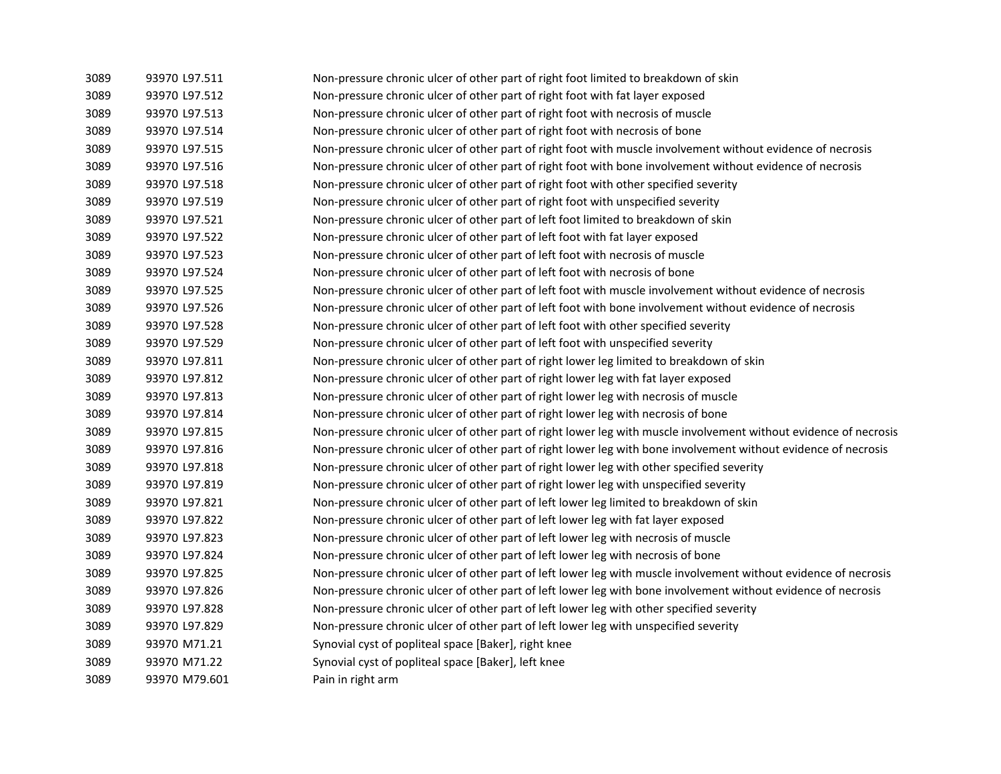| 3089 | 93970 L97.511 | Non-pressure chronic ulcer of other part of right foot limited to breakdown of skin                              |
|------|---------------|------------------------------------------------------------------------------------------------------------------|
| 3089 | 93970 L97.512 | Non-pressure chronic ulcer of other part of right foot with fat layer exposed                                    |
| 3089 | 93970 L97.513 | Non-pressure chronic ulcer of other part of right foot with necrosis of muscle                                   |
| 3089 | 93970 L97.514 | Non-pressure chronic ulcer of other part of right foot with necrosis of bone                                     |
| 3089 | 93970 L97.515 | Non-pressure chronic ulcer of other part of right foot with muscle involvement without evidence of necrosis      |
| 3089 | 93970 L97.516 | Non-pressure chronic ulcer of other part of right foot with bone involvement without evidence of necrosis        |
| 3089 | 93970 L97.518 | Non-pressure chronic ulcer of other part of right foot with other specified severity                             |
| 3089 | 93970 L97.519 | Non-pressure chronic ulcer of other part of right foot with unspecified severity                                 |
| 3089 | 93970 L97.521 | Non-pressure chronic ulcer of other part of left foot limited to breakdown of skin                               |
| 3089 | 93970 L97.522 | Non-pressure chronic ulcer of other part of left foot with fat layer exposed                                     |
| 3089 | 93970 L97.523 | Non-pressure chronic ulcer of other part of left foot with necrosis of muscle                                    |
| 3089 | 93970 L97.524 | Non-pressure chronic ulcer of other part of left foot with necrosis of bone                                      |
| 3089 | 93970 L97.525 | Non-pressure chronic ulcer of other part of left foot with muscle involvement without evidence of necrosis       |
| 3089 | 93970 L97.526 | Non-pressure chronic ulcer of other part of left foot with bone involvement without evidence of necrosis         |
| 3089 | 93970 L97.528 | Non-pressure chronic ulcer of other part of left foot with other specified severity                              |
| 3089 | 93970 L97.529 | Non-pressure chronic ulcer of other part of left foot with unspecified severity                                  |
| 3089 | 93970 L97.811 | Non-pressure chronic ulcer of other part of right lower leg limited to breakdown of skin                         |
| 3089 | 93970 L97.812 | Non-pressure chronic ulcer of other part of right lower leg with fat layer exposed                               |
| 3089 | 93970 L97.813 | Non-pressure chronic ulcer of other part of right lower leg with necrosis of muscle                              |
| 3089 | 93970 L97.814 | Non-pressure chronic ulcer of other part of right lower leg with necrosis of bone                                |
| 3089 | 93970 L97.815 | Non-pressure chronic ulcer of other part of right lower leg with muscle involvement without evidence of necrosis |
| 3089 | 93970 L97.816 | Non-pressure chronic ulcer of other part of right lower leg with bone involvement without evidence of necrosis   |
| 3089 | 93970 L97.818 | Non-pressure chronic ulcer of other part of right lower leg with other specified severity                        |
| 3089 | 93970 L97.819 | Non-pressure chronic ulcer of other part of right lower leg with unspecified severity                            |
| 3089 | 93970 L97.821 | Non-pressure chronic ulcer of other part of left lower leg limited to breakdown of skin                          |
| 3089 | 93970 L97.822 | Non-pressure chronic ulcer of other part of left lower leg with fat layer exposed                                |
| 3089 | 93970 L97.823 | Non-pressure chronic ulcer of other part of left lower leg with necrosis of muscle                               |
| 3089 | 93970 L97.824 | Non-pressure chronic ulcer of other part of left lower leg with necrosis of bone                                 |
| 3089 | 93970 L97.825 | Non-pressure chronic ulcer of other part of left lower leg with muscle involvement without evidence of necrosis  |
| 3089 | 93970 L97.826 | Non-pressure chronic ulcer of other part of left lower leg with bone involvement without evidence of necrosis    |
| 3089 | 93970 L97.828 | Non-pressure chronic ulcer of other part of left lower leg with other specified severity                         |
| 3089 | 93970 L97.829 | Non-pressure chronic ulcer of other part of left lower leg with unspecified severity                             |
| 3089 | 93970 M71.21  | Synovial cyst of popliteal space [Baker], right knee                                                             |
| 3089 | 93970 M71.22  | Synovial cyst of popliteal space [Baker], left knee                                                              |
| 3089 | 93970 M79.601 | Pain in right arm                                                                                                |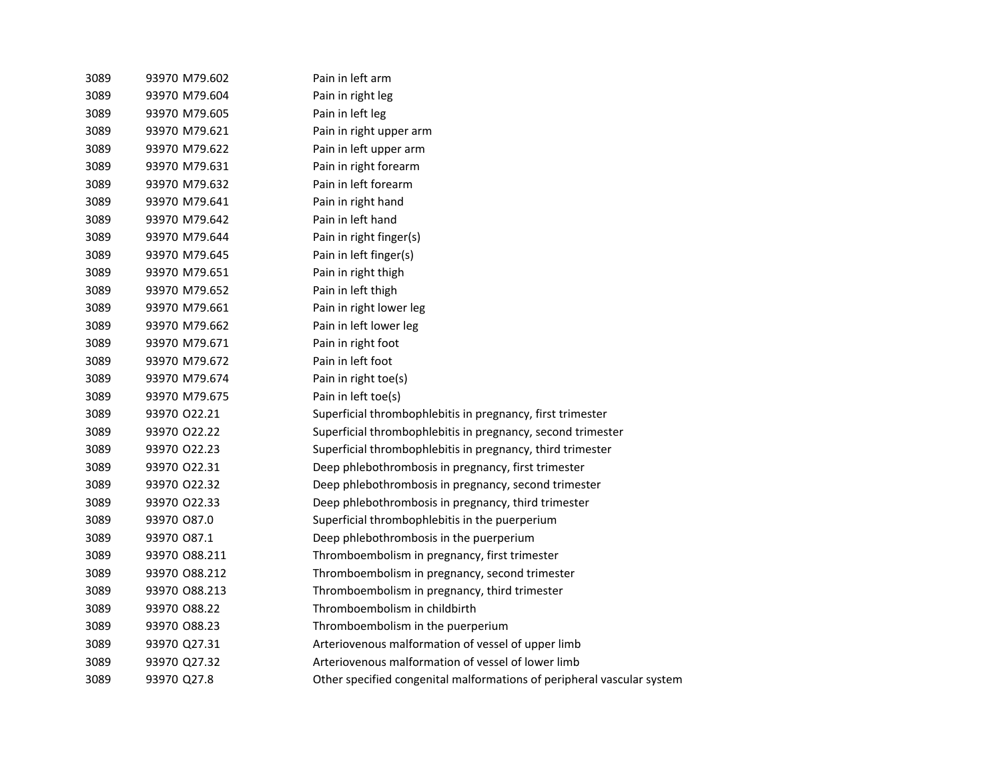| 3089 | 93970 M79.602 | Pain in left arm                                                       |
|------|---------------|------------------------------------------------------------------------|
| 3089 | 93970 M79.604 | Pain in right leg                                                      |
| 3089 | 93970 M79.605 | Pain in left leg                                                       |
| 3089 | 93970 M79.621 | Pain in right upper arm                                                |
| 3089 | 93970 M79.622 | Pain in left upper arm                                                 |
| 3089 | 93970 M79.631 | Pain in right forearm                                                  |
| 3089 | 93970 M79.632 | Pain in left forearm                                                   |
| 3089 | 93970 M79.641 | Pain in right hand                                                     |
| 3089 | 93970 M79.642 | Pain in left hand                                                      |
| 3089 | 93970 M79.644 | Pain in right finger(s)                                                |
| 3089 | 93970 M79.645 | Pain in left finger(s)                                                 |
| 3089 | 93970 M79.651 | Pain in right thigh                                                    |
| 3089 | 93970 M79.652 | Pain in left thigh                                                     |
| 3089 | 93970 M79.661 | Pain in right lower leg                                                |
| 3089 | 93970 M79.662 | Pain in left lower leg                                                 |
| 3089 | 93970 M79.671 | Pain in right foot                                                     |
| 3089 | 93970 M79.672 | Pain in left foot                                                      |
| 3089 | 93970 M79.674 | Pain in right toe(s)                                                   |
| 3089 | 93970 M79.675 | Pain in left toe(s)                                                    |
| 3089 | 93970 022.21  | Superficial thrombophlebitis in pregnancy, first trimester             |
| 3089 | 93970 022.22  | Superficial thrombophlebitis in pregnancy, second trimester            |
| 3089 | 93970 022.23  | Superficial thrombophlebitis in pregnancy, third trimester             |
| 3089 | 93970 022.31  | Deep phlebothrombosis in pregnancy, first trimester                    |
| 3089 | 93970 022.32  | Deep phlebothrombosis in pregnancy, second trimester                   |
| 3089 | 93970 022.33  | Deep phlebothrombosis in pregnancy, third trimester                    |
| 3089 | 93970 087.0   | Superficial thrombophlebitis in the puerperium                         |
| 3089 | 93970 087.1   | Deep phlebothrombosis in the puerperium                                |
| 3089 | 93970 088.211 | Thromboembolism in pregnancy, first trimester                          |
| 3089 | 93970 088.212 | Thromboembolism in pregnancy, second trimester                         |
| 3089 | 93970 088.213 | Thromboembolism in pregnancy, third trimester                          |
| 3089 | 93970 088.22  | Thromboembolism in childbirth                                          |
| 3089 | 93970 088.23  | Thromboembolism in the puerperium                                      |
| 3089 | 93970 Q27.31  | Arteriovenous malformation of vessel of upper limb                     |
| 3089 | 93970 Q27.32  | Arteriovenous malformation of vessel of lower limb                     |
| 3089 | 93970 Q27.8   | Other specified congenital malformations of peripheral vascular system |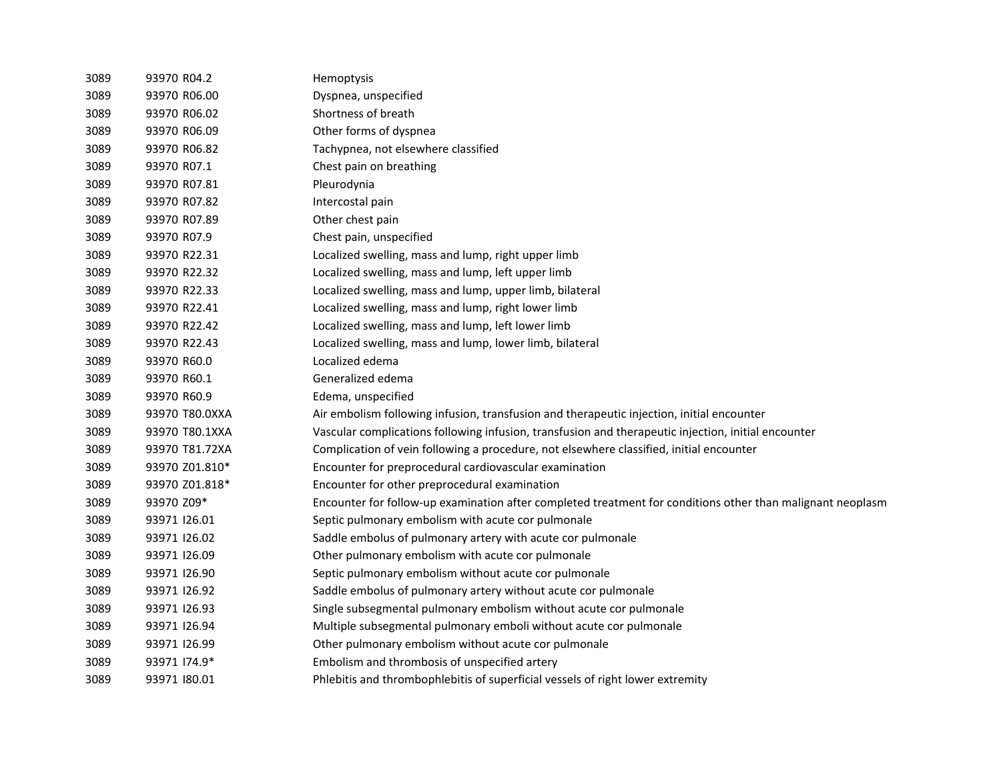| 3089 | 93970 R04.2    | Hemoptysis                                                                                                 |
|------|----------------|------------------------------------------------------------------------------------------------------------|
| 3089 | 93970 R06.00   | Dyspnea, unspecified                                                                                       |
| 3089 | 93970 R06.02   | Shortness of breath                                                                                        |
| 3089 | 93970 R06.09   | Other forms of dyspnea                                                                                     |
| 3089 | 93970 R06.82   | Tachypnea, not elsewhere classified                                                                        |
| 3089 | 93970 R07.1    | Chest pain on breathing                                                                                    |
| 3089 | 93970 R07.81   | Pleurodynia                                                                                                |
| 3089 | 93970 R07.82   | Intercostal pain                                                                                           |
| 3089 | 93970 R07.89   | Other chest pain                                                                                           |
| 3089 | 93970 R07.9    | Chest pain, unspecified                                                                                    |
| 3089 | 93970 R22.31   | Localized swelling, mass and lump, right upper limb                                                        |
| 3089 | 93970 R22.32   | Localized swelling, mass and lump, left upper limb                                                         |
| 3089 | 93970 R22.33   | Localized swelling, mass and lump, upper limb, bilateral                                                   |
| 3089 | 93970 R22.41   | Localized swelling, mass and lump, right lower limb                                                        |
| 3089 | 93970 R22.42   | Localized swelling, mass and lump, left lower limb                                                         |
| 3089 | 93970 R22.43   | Localized swelling, mass and lump, lower limb, bilateral                                                   |
| 3089 | 93970 R60.0    | Localized edema                                                                                            |
| 3089 | 93970 R60.1    | Generalized edema                                                                                          |
| 3089 | 93970 R60.9    | Edema, unspecified                                                                                         |
| 3089 | 93970 T80.0XXA | Air embolism following infusion, transfusion and therapeutic injection, initial encounter                  |
| 3089 | 93970 T80.1XXA | Vascular complications following infusion, transfusion and therapeutic injection, initial encounter        |
| 3089 | 93970 T81.72XA | Complication of vein following a procedure, not elsewhere classified, initial encounter                    |
| 3089 | 93970 Z01.810* | Encounter for preprocedural cardiovascular examination                                                     |
| 3089 | 93970 Z01.818* | Encounter for other preprocedural examination                                                              |
| 3089 | 93970 Z09*     | Encounter for follow-up examination after completed treatment for conditions other than malignant neoplasm |
| 3089 | 93971 126.01   | Septic pulmonary embolism with acute cor pulmonale                                                         |
| 3089 | 93971 126.02   | Saddle embolus of pulmonary artery with acute cor pulmonale                                                |
| 3089 | 93971 126.09   | Other pulmonary embolism with acute cor pulmonale                                                          |
| 3089 | 93971 126.90   | Septic pulmonary embolism without acute cor pulmonale                                                      |
| 3089 | 93971 126.92   | Saddle embolus of pulmonary artery without acute cor pulmonale                                             |
| 3089 | 93971 126.93   | Single subsegmental pulmonary embolism without acute cor pulmonale                                         |
| 3089 | 93971 126.94   | Multiple subsegmental pulmonary emboli without acute cor pulmonale                                         |
| 3089 | 93971 126.99   | Other pulmonary embolism without acute cor pulmonale                                                       |
| 3089 | 93971 174.9*   | Embolism and thrombosis of unspecified artery                                                              |
| 3089 | 93971 180.01   | Phlebitis and thrombophlebitis of superficial vessels of right lower extremity                             |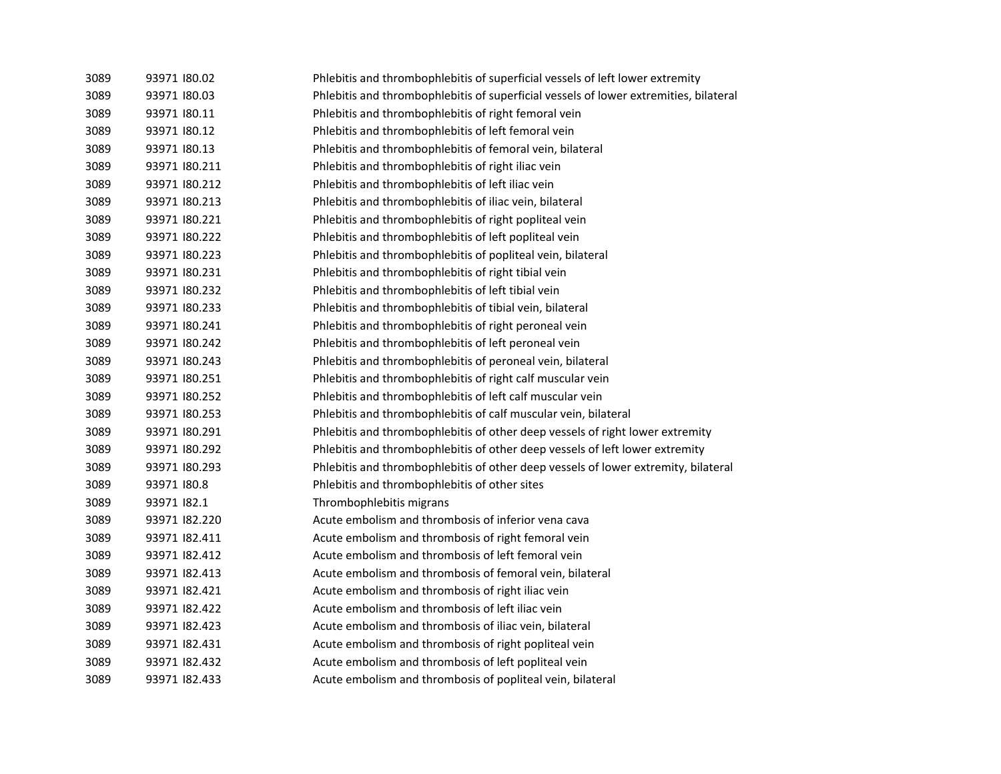| 3089 | 93971 180.02  | Phlebitis and thrombophlebitis of superficial vessels of left lower extremity         |
|------|---------------|---------------------------------------------------------------------------------------|
| 3089 | 93971 180.03  | Phlebitis and thrombophlebitis of superficial vessels of lower extremities, bilateral |
| 3089 | 93971 180.11  | Phlebitis and thrombophlebitis of right femoral vein                                  |
| 3089 | 93971 180.12  | Phlebitis and thrombophlebitis of left femoral vein                                   |
| 3089 | 93971 180.13  | Phlebitis and thrombophlebitis of femoral vein, bilateral                             |
| 3089 | 93971 180.211 | Phlebitis and thrombophlebitis of right iliac vein                                    |
| 3089 | 93971 180.212 | Phlebitis and thrombophlebitis of left iliac vein                                     |
| 3089 | 93971 180.213 | Phlebitis and thrombophlebitis of iliac vein, bilateral                               |
| 3089 | 93971 180.221 | Phlebitis and thrombophlebitis of right popliteal vein                                |
| 3089 | 93971 180.222 | Phlebitis and thrombophlebitis of left popliteal vein                                 |
| 3089 | 93971 180.223 | Phlebitis and thrombophlebitis of popliteal vein, bilateral                           |
| 3089 | 93971 180.231 | Phlebitis and thrombophlebitis of right tibial vein                                   |
| 3089 | 93971 180.232 | Phlebitis and thrombophlebitis of left tibial vein                                    |
| 3089 | 93971 180.233 | Phlebitis and thrombophlebitis of tibial vein, bilateral                              |
| 3089 | 93971 180.241 | Phlebitis and thrombophlebitis of right peroneal vein                                 |
| 3089 | 93971 180.242 | Phlebitis and thrombophlebitis of left peroneal vein                                  |
| 3089 | 93971 180.243 | Phlebitis and thrombophlebitis of peroneal vein, bilateral                            |
| 3089 | 93971 180.251 | Phlebitis and thrombophlebitis of right calf muscular vein                            |
| 3089 | 93971 180.252 | Phlebitis and thrombophlebitis of left calf muscular vein                             |
| 3089 | 93971 180.253 | Phlebitis and thrombophlebitis of calf muscular vein, bilateral                       |
| 3089 | 93971 180.291 | Phlebitis and thrombophlebitis of other deep vessels of right lower extremity         |
| 3089 | 93971 180.292 | Phlebitis and thrombophlebitis of other deep vessels of left lower extremity          |
| 3089 | 93971 180.293 | Phlebitis and thrombophlebitis of other deep vessels of lower extremity, bilateral    |
| 3089 | 93971 180.8   | Phlebitis and thrombophlebitis of other sites                                         |
| 3089 | 93971 182.1   | Thrombophlebitis migrans                                                              |
| 3089 | 93971 182.220 | Acute embolism and thrombosis of inferior vena cava                                   |
| 3089 | 93971 182.411 | Acute embolism and thrombosis of right femoral vein                                   |
| 3089 | 93971 182.412 | Acute embolism and thrombosis of left femoral vein                                    |
| 3089 | 93971 182.413 | Acute embolism and thrombosis of femoral vein, bilateral                              |
| 3089 | 93971 182.421 | Acute embolism and thrombosis of right iliac vein                                     |
| 3089 | 93971 182.422 | Acute embolism and thrombosis of left iliac vein                                      |
| 3089 | 93971 182.423 | Acute embolism and thrombosis of iliac vein, bilateral                                |
| 3089 | 93971 182.431 | Acute embolism and thrombosis of right popliteal vein                                 |
| 3089 | 93971 182.432 | Acute embolism and thrombosis of left popliteal vein                                  |
| 3089 | 93971 182.433 | Acute embolism and thrombosis of popliteal vein, bilateral                            |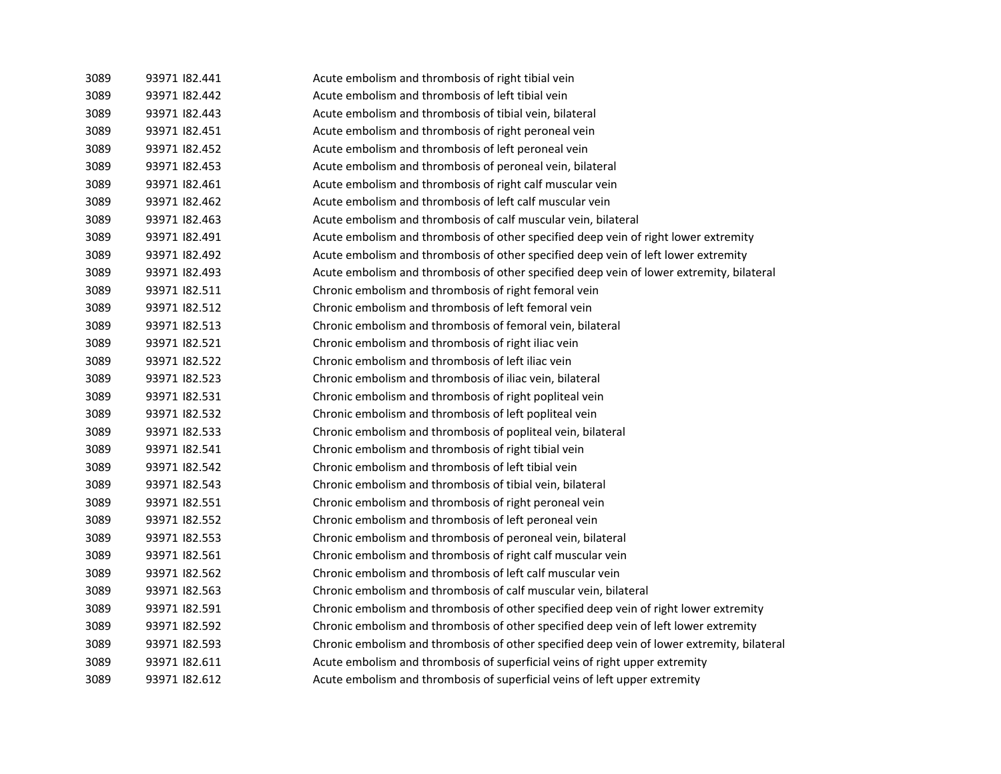| 3089 | 93971 182.441 | Acute embolism and thrombosis of right tibial vein                                         |
|------|---------------|--------------------------------------------------------------------------------------------|
| 3089 | 93971 182.442 | Acute embolism and thrombosis of left tibial vein                                          |
| 3089 | 93971 182.443 | Acute embolism and thrombosis of tibial vein, bilateral                                    |
| 3089 | 93971 182.451 | Acute embolism and thrombosis of right peroneal vein                                       |
| 3089 | 93971 182.452 | Acute embolism and thrombosis of left peroneal vein                                        |
| 3089 | 93971 182.453 | Acute embolism and thrombosis of peroneal vein, bilateral                                  |
| 3089 | 93971 182.461 | Acute embolism and thrombosis of right calf muscular vein                                  |
| 3089 | 93971 182.462 | Acute embolism and thrombosis of left calf muscular vein                                   |
| 3089 | 93971 182.463 | Acute embolism and thrombosis of calf muscular vein, bilateral                             |
| 3089 | 93971 182.491 | Acute embolism and thrombosis of other specified deep vein of right lower extremity        |
| 3089 | 93971 182.492 | Acute embolism and thrombosis of other specified deep vein of left lower extremity         |
| 3089 | 93971 182.493 | Acute embolism and thrombosis of other specified deep vein of lower extremity, bilateral   |
| 3089 | 93971 182.511 | Chronic embolism and thrombosis of right femoral vein                                      |
| 3089 | 93971 182.512 | Chronic embolism and thrombosis of left femoral vein                                       |
| 3089 | 93971 182.513 | Chronic embolism and thrombosis of femoral vein, bilateral                                 |
| 3089 | 93971 182.521 | Chronic embolism and thrombosis of right iliac vein                                        |
| 3089 | 93971 182.522 | Chronic embolism and thrombosis of left iliac vein                                         |
| 3089 | 93971 182.523 | Chronic embolism and thrombosis of iliac vein, bilateral                                   |
| 3089 | 93971 182.531 | Chronic embolism and thrombosis of right popliteal vein                                    |
| 3089 | 93971 182.532 | Chronic embolism and thrombosis of left popliteal vein                                     |
| 3089 | 93971 182.533 | Chronic embolism and thrombosis of popliteal vein, bilateral                               |
| 3089 | 93971 182.541 | Chronic embolism and thrombosis of right tibial vein                                       |
| 3089 | 93971 182.542 | Chronic embolism and thrombosis of left tibial vein                                        |
| 3089 | 93971 182.543 | Chronic embolism and thrombosis of tibial vein, bilateral                                  |
| 3089 | 93971 182.551 | Chronic embolism and thrombosis of right peroneal vein                                     |
| 3089 | 93971 182.552 | Chronic embolism and thrombosis of left peroneal vein                                      |
| 3089 | 93971 182.553 | Chronic embolism and thrombosis of peroneal vein, bilateral                                |
| 3089 | 93971 182.561 | Chronic embolism and thrombosis of right calf muscular vein                                |
| 3089 | 93971 182.562 | Chronic embolism and thrombosis of left calf muscular vein                                 |
| 3089 | 93971 182.563 | Chronic embolism and thrombosis of calf muscular vein, bilateral                           |
| 3089 | 93971 182.591 | Chronic embolism and thrombosis of other specified deep vein of right lower extremity      |
| 3089 | 93971 182.592 | Chronic embolism and thrombosis of other specified deep vein of left lower extremity       |
| 3089 | 93971 182.593 | Chronic embolism and thrombosis of other specified deep vein of lower extremity, bilateral |
| 3089 | 93971 182.611 | Acute embolism and thrombosis of superficial veins of right upper extremity                |
| 3089 | 93971 182.612 | Acute embolism and thrombosis of superficial veins of left upper extremity                 |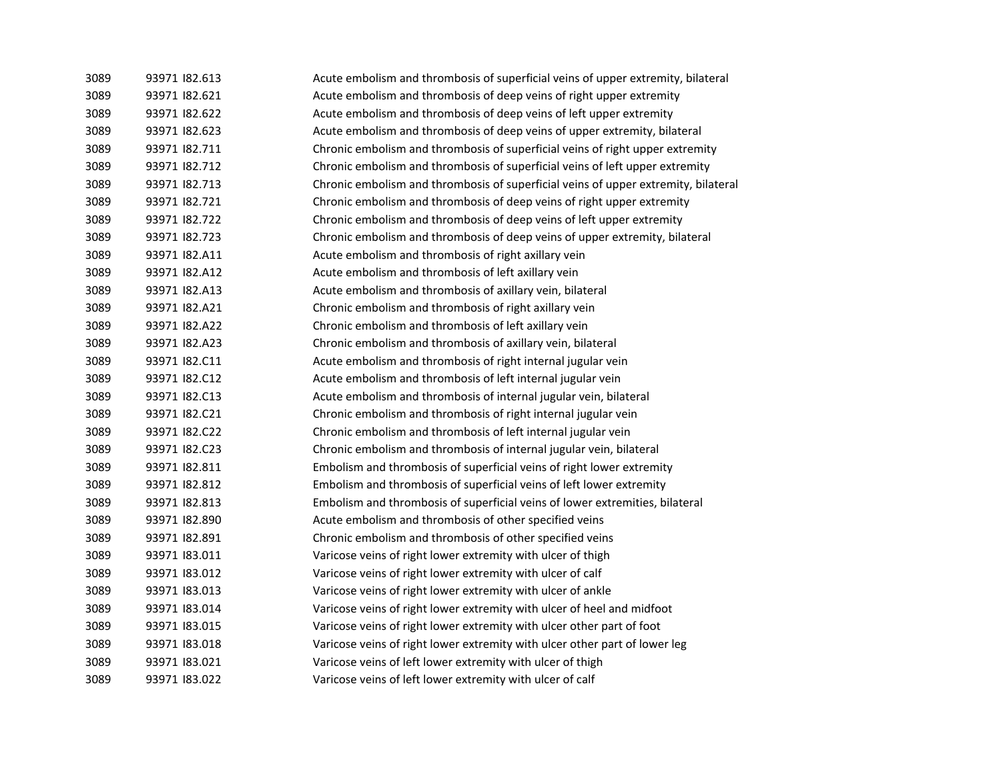| 3089 | 93971 182.613 | Acute embolism and thrombosis of superficial veins of upper extremity, bilateral   |
|------|---------------|------------------------------------------------------------------------------------|
| 3089 | 93971 182.621 | Acute embolism and thrombosis of deep veins of right upper extremity               |
| 3089 | 93971 182.622 | Acute embolism and thrombosis of deep veins of left upper extremity                |
| 3089 | 93971 182.623 | Acute embolism and thrombosis of deep veins of upper extremity, bilateral          |
| 3089 | 93971 182.711 | Chronic embolism and thrombosis of superficial veins of right upper extremity      |
| 3089 | 93971 182.712 | Chronic embolism and thrombosis of superficial veins of left upper extremity       |
| 3089 | 93971 182.713 | Chronic embolism and thrombosis of superficial veins of upper extremity, bilateral |
| 3089 | 93971 182.721 | Chronic embolism and thrombosis of deep veins of right upper extremity             |
| 3089 | 93971 182.722 | Chronic embolism and thrombosis of deep veins of left upper extremity              |
| 3089 | 93971 182.723 | Chronic embolism and thrombosis of deep veins of upper extremity, bilateral        |
| 3089 | 93971 I82.A11 | Acute embolism and thrombosis of right axillary vein                               |
| 3089 | 93971 I82.A12 | Acute embolism and thrombosis of left axillary vein                                |
| 3089 | 93971 I82.A13 | Acute embolism and thrombosis of axillary vein, bilateral                          |
| 3089 | 93971 I82.A21 | Chronic embolism and thrombosis of right axillary vein                             |
| 3089 | 93971 I82.A22 | Chronic embolism and thrombosis of left axillary vein                              |
| 3089 | 93971 I82.A23 | Chronic embolism and thrombosis of axillary vein, bilateral                        |
| 3089 | 93971 I82.C11 | Acute embolism and thrombosis of right internal jugular vein                       |
| 3089 | 93971 I82.C12 | Acute embolism and thrombosis of left internal jugular vein                        |
| 3089 | 93971 I82.C13 | Acute embolism and thrombosis of internal jugular vein, bilateral                  |
| 3089 | 93971 I82.C21 | Chronic embolism and thrombosis of right internal jugular vein                     |
| 3089 | 93971 I82.C22 | Chronic embolism and thrombosis of left internal jugular vein                      |
| 3089 | 93971 I82.C23 | Chronic embolism and thrombosis of internal jugular vein, bilateral                |
| 3089 | 93971 182.811 | Embolism and thrombosis of superficial veins of right lower extremity              |
| 3089 | 93971 182.812 | Embolism and thrombosis of superficial veins of left lower extremity               |
| 3089 | 93971 182.813 | Embolism and thrombosis of superficial veins of lower extremities, bilateral       |
| 3089 | 93971 182.890 | Acute embolism and thrombosis of other specified veins                             |
| 3089 | 93971 182.891 | Chronic embolism and thrombosis of other specified veins                           |
| 3089 | 93971 183.011 | Varicose veins of right lower extremity with ulcer of thigh                        |
| 3089 | 93971 183.012 | Varicose veins of right lower extremity with ulcer of calf                         |
| 3089 | 93971 183.013 | Varicose veins of right lower extremity with ulcer of ankle                        |
| 3089 | 93971 183.014 | Varicose veins of right lower extremity with ulcer of heel and midfoot             |
| 3089 | 93971 183.015 | Varicose veins of right lower extremity with ulcer other part of foot              |
| 3089 | 93971 183.018 | Varicose veins of right lower extremity with ulcer other part of lower leg         |
| 3089 | 93971 183.021 | Varicose veins of left lower extremity with ulcer of thigh                         |
| 3089 | 93971 183.022 | Varicose veins of left lower extremity with ulcer of calf                          |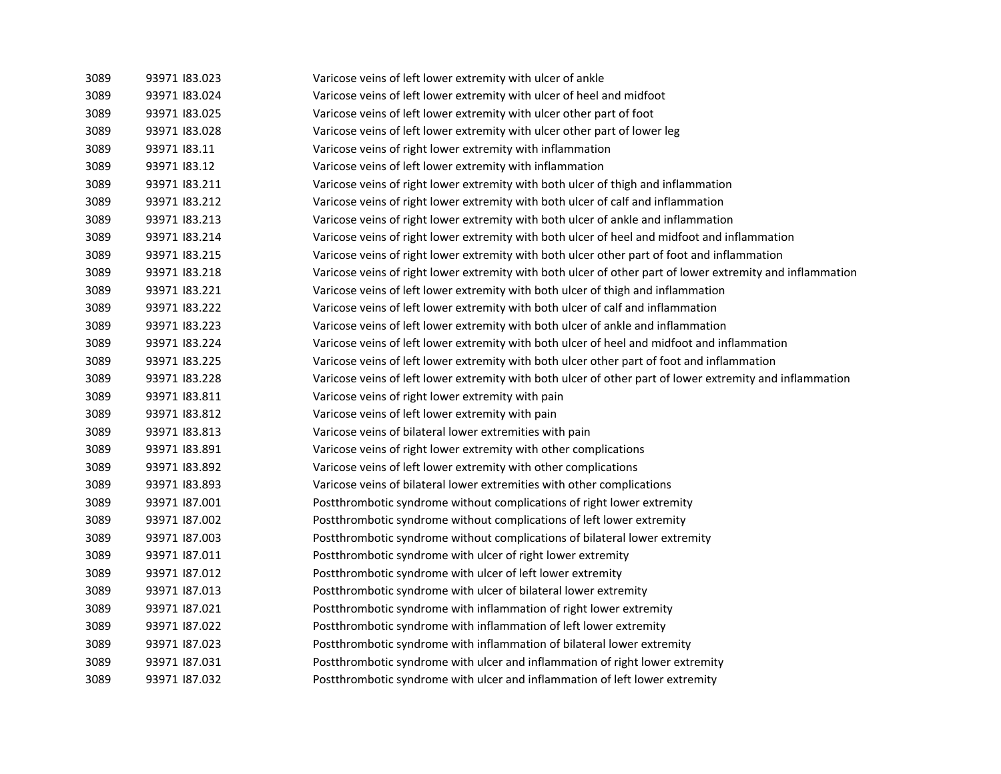| 3089 | 93971 183.023 | Varicose veins of left lower extremity with ulcer of ankle                                                |
|------|---------------|-----------------------------------------------------------------------------------------------------------|
| 3089 | 93971 183.024 | Varicose veins of left lower extremity with ulcer of heel and midfoot                                     |
| 3089 | 93971 183.025 | Varicose veins of left lower extremity with ulcer other part of foot                                      |
| 3089 | 93971 183.028 | Varicose veins of left lower extremity with ulcer other part of lower leg                                 |
| 3089 | 93971 183.11  | Varicose veins of right lower extremity with inflammation                                                 |
| 3089 | 93971 183.12  | Varicose veins of left lower extremity with inflammation                                                  |
| 3089 | 93971 183.211 | Varicose veins of right lower extremity with both ulcer of thigh and inflammation                         |
| 3089 | 93971 183.212 | Varicose veins of right lower extremity with both ulcer of calf and inflammation                          |
| 3089 | 93971 183.213 | Varicose veins of right lower extremity with both ulcer of ankle and inflammation                         |
| 3089 | 93971 183.214 | Varicose veins of right lower extremity with both ulcer of heel and midfoot and inflammation              |
| 3089 | 93971 183.215 | Varicose veins of right lower extremity with both ulcer other part of foot and inflammation               |
| 3089 | 93971 183.218 | Varicose veins of right lower extremity with both ulcer of other part of lower extremity and inflammation |
| 3089 | 93971 183.221 | Varicose veins of left lower extremity with both ulcer of thigh and inflammation                          |
| 3089 | 93971 183.222 | Varicose veins of left lower extremity with both ulcer of calf and inflammation                           |
| 3089 | 93971 183.223 | Varicose veins of left lower extremity with both ulcer of ankle and inflammation                          |
| 3089 | 93971 183.224 | Varicose veins of left lower extremity with both ulcer of heel and midfoot and inflammation               |
| 3089 | 93971 183.225 | Varicose veins of left lower extremity with both ulcer other part of foot and inflammation                |
| 3089 | 93971 183.228 | Varicose veins of left lower extremity with both ulcer of other part of lower extremity and inflammation  |
| 3089 | 93971 183.811 | Varicose veins of right lower extremity with pain                                                         |
| 3089 | 93971 183.812 | Varicose veins of left lower extremity with pain                                                          |
| 3089 | 93971 183.813 | Varicose veins of bilateral lower extremities with pain                                                   |
| 3089 | 93971 183.891 | Varicose veins of right lower extremity with other complications                                          |
| 3089 | 93971 183.892 | Varicose veins of left lower extremity with other complications                                           |
| 3089 | 93971 183.893 | Varicose veins of bilateral lower extremities with other complications                                    |
| 3089 | 93971 187.001 | Postthrombotic syndrome without complications of right lower extremity                                    |
| 3089 | 93971 187.002 | Postthrombotic syndrome without complications of left lower extremity                                     |
| 3089 | 93971 187.003 | Postthrombotic syndrome without complications of bilateral lower extremity                                |
| 3089 | 93971 187.011 | Postthrombotic syndrome with ulcer of right lower extremity                                               |
| 3089 | 93971 187.012 | Postthrombotic syndrome with ulcer of left lower extremity                                                |
| 3089 | 93971 187.013 | Postthrombotic syndrome with ulcer of bilateral lower extremity                                           |
| 3089 | 93971 187.021 | Postthrombotic syndrome with inflammation of right lower extremity                                        |
| 3089 | 93971 187.022 | Postthrombotic syndrome with inflammation of left lower extremity                                         |
| 3089 | 93971 187.023 | Postthrombotic syndrome with inflammation of bilateral lower extremity                                    |
| 3089 | 93971 187.031 | Postthrombotic syndrome with ulcer and inflammation of right lower extremity                              |
| 3089 | 93971 187.032 | Postthrombotic syndrome with ulcer and inflammation of left lower extremity                               |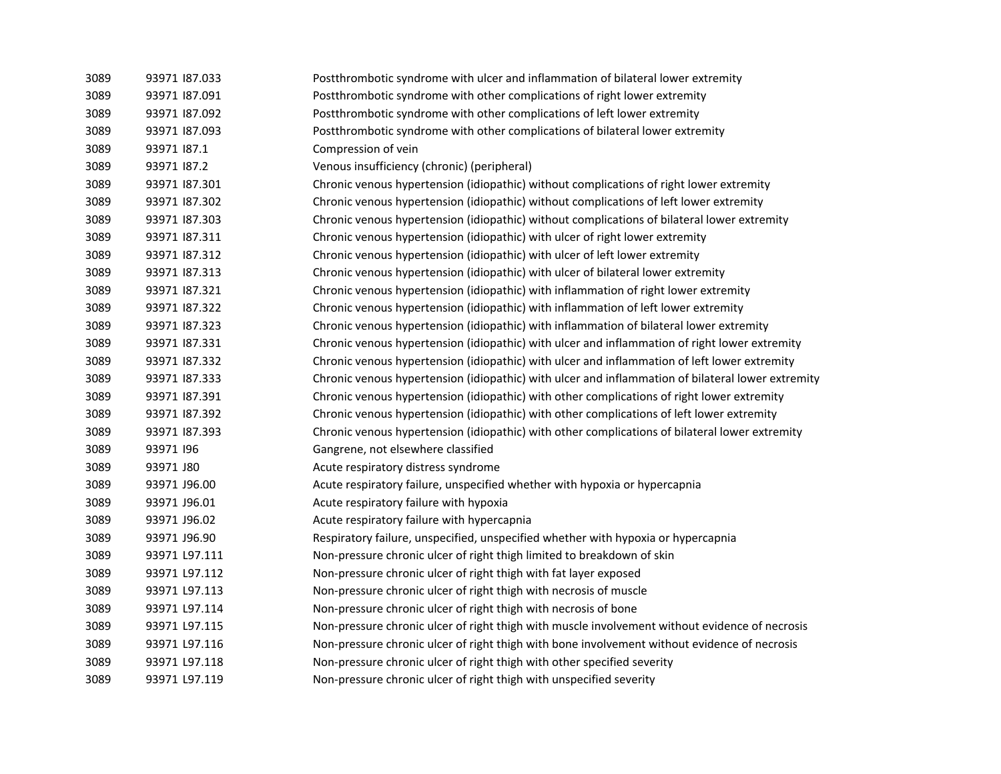| 3089 | 93971 187.033 | Postthrombotic syndrome with ulcer and inflammation of bilateral lower extremity                  |
|------|---------------|---------------------------------------------------------------------------------------------------|
| 3089 | 93971 187.091 | Postthrombotic syndrome with other complications of right lower extremity                         |
| 3089 | 93971 187.092 | Postthrombotic syndrome with other complications of left lower extremity                          |
| 3089 | 93971 187.093 | Postthrombotic syndrome with other complications of bilateral lower extremity                     |
| 3089 | 93971 187.1   | Compression of vein                                                                               |
| 3089 | 93971 187.2   | Venous insufficiency (chronic) (peripheral)                                                       |
| 3089 | 93971 187.301 | Chronic venous hypertension (idiopathic) without complications of right lower extremity           |
| 3089 | 93971 187.302 | Chronic venous hypertension (idiopathic) without complications of left lower extremity            |
| 3089 | 93971 187.303 | Chronic venous hypertension (idiopathic) without complications of bilateral lower extremity       |
| 3089 | 93971 187.311 | Chronic venous hypertension (idiopathic) with ulcer of right lower extremity                      |
| 3089 | 93971 187.312 | Chronic venous hypertension (idiopathic) with ulcer of left lower extremity                       |
| 3089 | 93971 187.313 | Chronic venous hypertension (idiopathic) with ulcer of bilateral lower extremity                  |
| 3089 | 93971 187.321 | Chronic venous hypertension (idiopathic) with inflammation of right lower extremity               |
| 3089 | 93971 187.322 | Chronic venous hypertension (idiopathic) with inflammation of left lower extremity                |
| 3089 | 93971 187.323 | Chronic venous hypertension (idiopathic) with inflammation of bilateral lower extremity           |
| 3089 | 93971 187.331 | Chronic venous hypertension (idiopathic) with ulcer and inflammation of right lower extremity     |
| 3089 | 93971 187.332 | Chronic venous hypertension (idiopathic) with ulcer and inflammation of left lower extremity      |
| 3089 | 93971 187.333 | Chronic venous hypertension (idiopathic) with ulcer and inflammation of bilateral lower extremity |
| 3089 | 93971 187.391 | Chronic venous hypertension (idiopathic) with other complications of right lower extremity        |
| 3089 | 93971 187.392 | Chronic venous hypertension (idiopathic) with other complications of left lower extremity         |
| 3089 | 93971 187.393 | Chronic venous hypertension (idiopathic) with other complications of bilateral lower extremity    |
| 3089 | 93971 196     | Gangrene, not elsewhere classified                                                                |
| 3089 | 93971 J80     | Acute respiratory distress syndrome                                                               |
| 3089 | 93971 J96.00  | Acute respiratory failure, unspecified whether with hypoxia or hypercapnia                        |
| 3089 | 93971 J96.01  | Acute respiratory failure with hypoxia                                                            |
| 3089 | 93971 J96.02  | Acute respiratory failure with hypercapnia                                                        |
| 3089 | 93971 J96.90  | Respiratory failure, unspecified, unspecified whether with hypoxia or hypercapnia                 |
| 3089 | 93971 L97.111 | Non-pressure chronic ulcer of right thigh limited to breakdown of skin                            |
| 3089 | 93971 L97.112 | Non-pressure chronic ulcer of right thigh with fat layer exposed                                  |
| 3089 | 93971 L97.113 | Non-pressure chronic ulcer of right thigh with necrosis of muscle                                 |
| 3089 | 93971 L97.114 | Non-pressure chronic ulcer of right thigh with necrosis of bone                                   |
| 3089 | 93971 L97.115 | Non-pressure chronic ulcer of right thigh with muscle involvement without evidence of necrosis    |
| 3089 | 93971 L97.116 | Non-pressure chronic ulcer of right thigh with bone involvement without evidence of necrosis      |
| 3089 | 93971 L97.118 | Non-pressure chronic ulcer of right thigh with other specified severity                           |
| 3089 | 93971 L97.119 | Non-pressure chronic ulcer of right thigh with unspecified severity                               |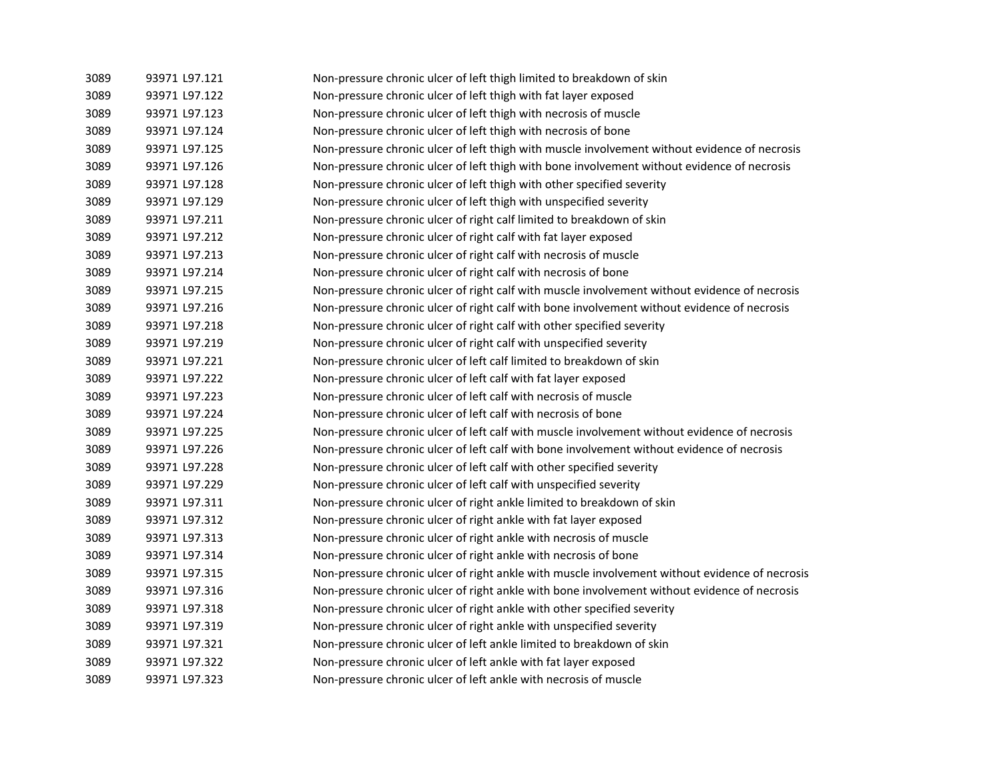| 3089 | 93971 L97.121 | Non-pressure chronic ulcer of left thigh limited to breakdown of skin                          |
|------|---------------|------------------------------------------------------------------------------------------------|
| 3089 | 93971 L97.122 | Non-pressure chronic ulcer of left thigh with fat layer exposed                                |
| 3089 | 93971 L97.123 | Non-pressure chronic ulcer of left thigh with necrosis of muscle                               |
| 3089 | 93971 L97.124 | Non-pressure chronic ulcer of left thigh with necrosis of bone                                 |
| 3089 | 93971 L97.125 | Non-pressure chronic ulcer of left thigh with muscle involvement without evidence of necrosis  |
| 3089 | 93971 L97.126 | Non-pressure chronic ulcer of left thigh with bone involvement without evidence of necrosis    |
| 3089 | 93971 L97.128 | Non-pressure chronic ulcer of left thigh with other specified severity                         |
| 3089 | 93971 L97.129 | Non-pressure chronic ulcer of left thigh with unspecified severity                             |
| 3089 | 93971 L97.211 | Non-pressure chronic ulcer of right calf limited to breakdown of skin                          |
| 3089 | 93971 L97.212 | Non-pressure chronic ulcer of right calf with fat layer exposed                                |
| 3089 | 93971 L97.213 | Non-pressure chronic ulcer of right calf with necrosis of muscle                               |
| 3089 | 93971 L97.214 | Non-pressure chronic ulcer of right calf with necrosis of bone                                 |
| 3089 | 93971 L97.215 | Non-pressure chronic ulcer of right calf with muscle involvement without evidence of necrosis  |
| 3089 | 93971 L97.216 | Non-pressure chronic ulcer of right calf with bone involvement without evidence of necrosis    |
| 3089 | 93971 L97.218 | Non-pressure chronic ulcer of right calf with other specified severity                         |
| 3089 | 93971 L97.219 | Non-pressure chronic ulcer of right calf with unspecified severity                             |
| 3089 | 93971 L97.221 | Non-pressure chronic ulcer of left calf limited to breakdown of skin                           |
| 3089 | 93971 L97.222 | Non-pressure chronic ulcer of left calf with fat layer exposed                                 |
| 3089 | 93971 L97.223 | Non-pressure chronic ulcer of left calf with necrosis of muscle                                |
| 3089 | 93971 L97.224 | Non-pressure chronic ulcer of left calf with necrosis of bone                                  |
| 3089 | 93971 L97.225 | Non-pressure chronic ulcer of left calf with muscle involvement without evidence of necrosis   |
| 3089 | 93971 L97.226 | Non-pressure chronic ulcer of left calf with bone involvement without evidence of necrosis     |
| 3089 | 93971 L97.228 | Non-pressure chronic ulcer of left calf with other specified severity                          |
| 3089 | 93971 L97.229 | Non-pressure chronic ulcer of left calf with unspecified severity                              |
| 3089 | 93971 L97.311 | Non-pressure chronic ulcer of right ankle limited to breakdown of skin                         |
| 3089 | 93971 L97.312 | Non-pressure chronic ulcer of right ankle with fat layer exposed                               |
| 3089 | 93971 L97.313 | Non-pressure chronic ulcer of right ankle with necrosis of muscle                              |
| 3089 | 93971 L97.314 | Non-pressure chronic ulcer of right ankle with necrosis of bone                                |
| 3089 | 93971 L97.315 | Non-pressure chronic ulcer of right ankle with muscle involvement without evidence of necrosis |
| 3089 | 93971 L97.316 | Non-pressure chronic ulcer of right ankle with bone involvement without evidence of necrosis   |
| 3089 | 93971 L97.318 | Non-pressure chronic ulcer of right ankle with other specified severity                        |
| 3089 | 93971 L97.319 | Non-pressure chronic ulcer of right ankle with unspecified severity                            |
| 3089 | 93971 L97.321 | Non-pressure chronic ulcer of left ankle limited to breakdown of skin                          |
| 3089 | 93971 L97.322 | Non-pressure chronic ulcer of left ankle with fat layer exposed                                |
| 3089 | 93971 L97.323 | Non-pressure chronic ulcer of left ankle with necrosis of muscle                               |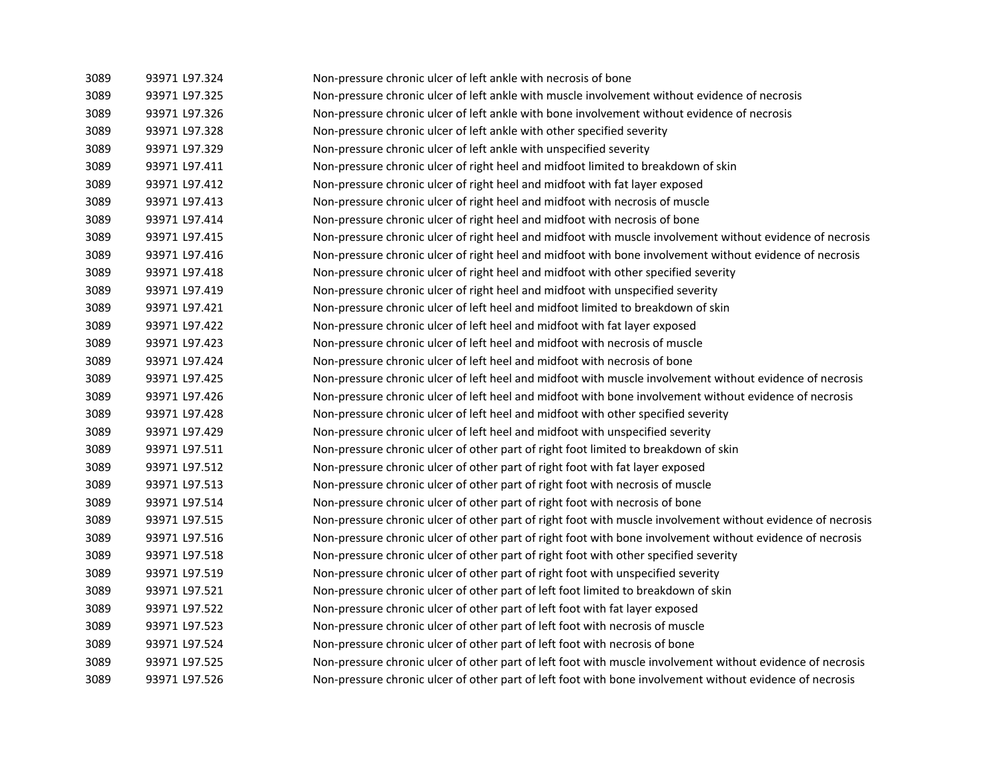| 3089 | 93971 L97.324 | Non-pressure chronic ulcer of left ankle with necrosis of bone                                              |
|------|---------------|-------------------------------------------------------------------------------------------------------------|
| 3089 | 93971 L97.325 | Non-pressure chronic ulcer of left ankle with muscle involvement without evidence of necrosis               |
| 3089 | 93971 L97.326 | Non-pressure chronic ulcer of left ankle with bone involvement without evidence of necrosis                 |
| 3089 | 93971 L97.328 | Non-pressure chronic ulcer of left ankle with other specified severity                                      |
| 3089 | 93971 L97.329 | Non-pressure chronic ulcer of left ankle with unspecified severity                                          |
| 3089 | 93971 L97.411 | Non-pressure chronic ulcer of right heel and midfoot limited to breakdown of skin                           |
| 3089 | 93971 L97.412 | Non-pressure chronic ulcer of right heel and midfoot with fat layer exposed                                 |
| 3089 | 93971 L97.413 | Non-pressure chronic ulcer of right heel and midfoot with necrosis of muscle                                |
| 3089 | 93971 L97.414 | Non-pressure chronic ulcer of right heel and midfoot with necrosis of bone                                  |
| 3089 | 93971 L97.415 | Non-pressure chronic ulcer of right heel and midfoot with muscle involvement without evidence of necrosis   |
| 3089 | 93971 L97.416 | Non-pressure chronic ulcer of right heel and midfoot with bone involvement without evidence of necrosis     |
| 3089 | 93971 L97.418 | Non-pressure chronic ulcer of right heel and midfoot with other specified severity                          |
| 3089 | 93971 L97.419 | Non-pressure chronic ulcer of right heel and midfoot with unspecified severity                              |
| 3089 | 93971 L97.421 | Non-pressure chronic ulcer of left heel and midfoot limited to breakdown of skin                            |
| 3089 | 93971 L97.422 | Non-pressure chronic ulcer of left heel and midfoot with fat layer exposed                                  |
| 3089 | 93971 L97.423 | Non-pressure chronic ulcer of left heel and midfoot with necrosis of muscle                                 |
| 3089 | 93971 L97.424 | Non-pressure chronic ulcer of left heel and midfoot with necrosis of bone                                   |
| 3089 | 93971 L97.425 | Non-pressure chronic ulcer of left heel and midfoot with muscle involvement without evidence of necrosis    |
| 3089 | 93971 L97.426 | Non-pressure chronic ulcer of left heel and midfoot with bone involvement without evidence of necrosis      |
| 3089 | 93971 L97.428 | Non-pressure chronic ulcer of left heel and midfoot with other specified severity                           |
| 3089 | 93971 L97.429 | Non-pressure chronic ulcer of left heel and midfoot with unspecified severity                               |
| 3089 | 93971 L97.511 | Non-pressure chronic ulcer of other part of right foot limited to breakdown of skin                         |
| 3089 | 93971 L97.512 | Non-pressure chronic ulcer of other part of right foot with fat layer exposed                               |
| 3089 | 93971 L97.513 | Non-pressure chronic ulcer of other part of right foot with necrosis of muscle                              |
| 3089 | 93971 L97.514 | Non-pressure chronic ulcer of other part of right foot with necrosis of bone                                |
| 3089 | 93971 L97.515 | Non-pressure chronic ulcer of other part of right foot with muscle involvement without evidence of necrosis |
| 3089 | 93971 L97.516 | Non-pressure chronic ulcer of other part of right foot with bone involvement without evidence of necrosis   |
| 3089 | 93971 L97.518 | Non-pressure chronic ulcer of other part of right foot with other specified severity                        |
| 3089 | 93971 L97.519 | Non-pressure chronic ulcer of other part of right foot with unspecified severity                            |
| 3089 | 93971 L97.521 | Non-pressure chronic ulcer of other part of left foot limited to breakdown of skin                          |
| 3089 | 93971 L97.522 | Non-pressure chronic ulcer of other part of left foot with fat layer exposed                                |
| 3089 | 93971 L97.523 | Non-pressure chronic ulcer of other part of left foot with necrosis of muscle                               |
| 3089 | 93971 L97.524 | Non-pressure chronic ulcer of other part of left foot with necrosis of bone                                 |
| 3089 | 93971 L97.525 | Non-pressure chronic ulcer of other part of left foot with muscle involvement without evidence of necrosis  |
| 3089 | 93971 L97.526 | Non-pressure chronic ulcer of other part of left foot with bone involvement without evidence of necrosis    |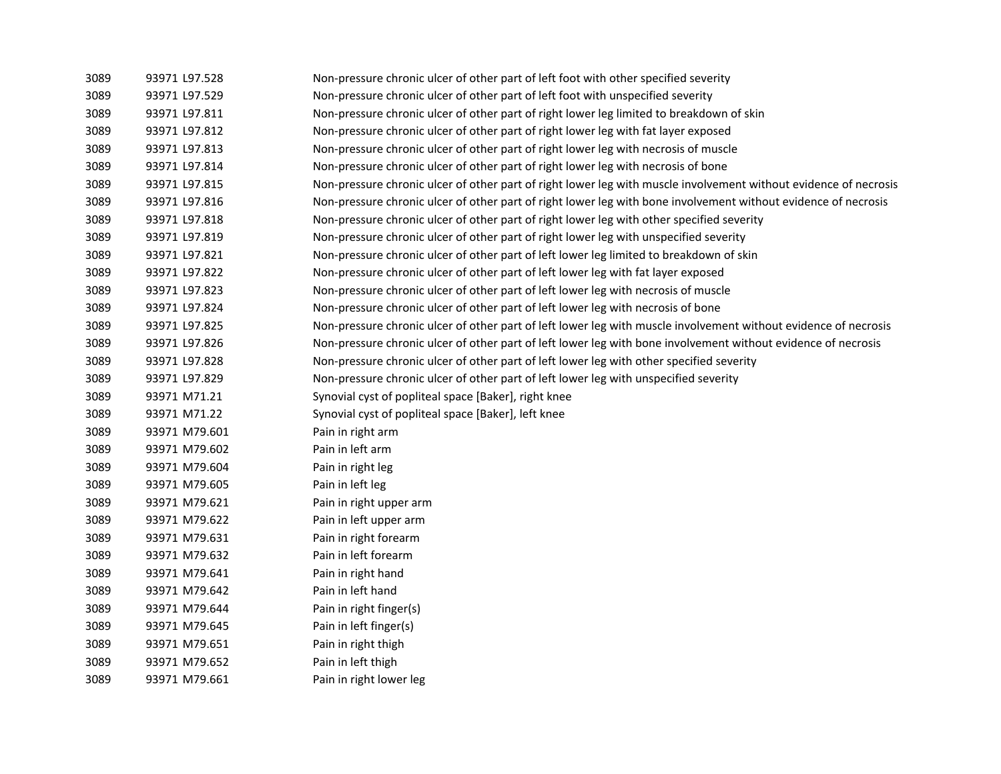| 3089 | 93971 L97.528 | Non-pressure chronic ulcer of other part of left foot with other specified severity                              |
|------|---------------|------------------------------------------------------------------------------------------------------------------|
| 3089 | 93971 L97.529 | Non-pressure chronic ulcer of other part of left foot with unspecified severity                                  |
| 3089 | 93971 L97.811 | Non-pressure chronic ulcer of other part of right lower leg limited to breakdown of skin                         |
| 3089 | 93971 L97.812 | Non-pressure chronic ulcer of other part of right lower leg with fat layer exposed                               |
| 3089 | 93971 L97.813 | Non-pressure chronic ulcer of other part of right lower leg with necrosis of muscle                              |
| 3089 | 93971 L97.814 | Non-pressure chronic ulcer of other part of right lower leg with necrosis of bone                                |
| 3089 | 93971 L97.815 | Non-pressure chronic ulcer of other part of right lower leg with muscle involvement without evidence of necrosis |
| 3089 | 93971 L97.816 | Non-pressure chronic ulcer of other part of right lower leg with bone involvement without evidence of necrosis   |
| 3089 | 93971 L97.818 | Non-pressure chronic ulcer of other part of right lower leg with other specified severity                        |
| 3089 | 93971 L97.819 | Non-pressure chronic ulcer of other part of right lower leg with unspecified severity                            |
| 3089 | 93971 L97.821 | Non-pressure chronic ulcer of other part of left lower leg limited to breakdown of skin                          |
| 3089 | 93971 L97.822 | Non-pressure chronic ulcer of other part of left lower leg with fat layer exposed                                |
| 3089 | 93971 L97.823 | Non-pressure chronic ulcer of other part of left lower leg with necrosis of muscle                               |
| 3089 | 93971 L97.824 | Non-pressure chronic ulcer of other part of left lower leg with necrosis of bone                                 |
| 3089 | 93971 L97.825 | Non-pressure chronic ulcer of other part of left lower leg with muscle involvement without evidence of necrosis  |
| 3089 | 93971 L97.826 | Non-pressure chronic ulcer of other part of left lower leg with bone involvement without evidence of necrosis    |
| 3089 | 93971 L97.828 | Non-pressure chronic ulcer of other part of left lower leg with other specified severity                         |
| 3089 | 93971 L97.829 | Non-pressure chronic ulcer of other part of left lower leg with unspecified severity                             |
| 3089 | 93971 M71.21  | Synovial cyst of popliteal space [Baker], right knee                                                             |
| 3089 | 93971 M71.22  | Synovial cyst of popliteal space [Baker], left knee                                                              |
| 3089 | 93971 M79.601 | Pain in right arm                                                                                                |
| 3089 | 93971 M79.602 | Pain in left arm                                                                                                 |
| 3089 | 93971 M79.604 | Pain in right leg                                                                                                |
| 3089 | 93971 M79.605 | Pain in left leg                                                                                                 |
| 3089 | 93971 M79.621 | Pain in right upper arm                                                                                          |
| 3089 | 93971 M79.622 | Pain in left upper arm                                                                                           |
| 3089 | 93971 M79.631 | Pain in right forearm                                                                                            |
| 3089 | 93971 M79.632 | Pain in left forearm                                                                                             |
| 3089 | 93971 M79.641 | Pain in right hand                                                                                               |
| 3089 | 93971 M79.642 | Pain in left hand                                                                                                |
| 3089 | 93971 M79.644 | Pain in right finger(s)                                                                                          |
| 3089 | 93971 M79.645 | Pain in left finger(s)                                                                                           |
| 3089 | 93971 M79.651 | Pain in right thigh                                                                                              |
| 3089 | 93971 M79.652 | Pain in left thigh                                                                                               |
| 3089 | 93971 M79.661 | Pain in right lower leg                                                                                          |
|      |               |                                                                                                                  |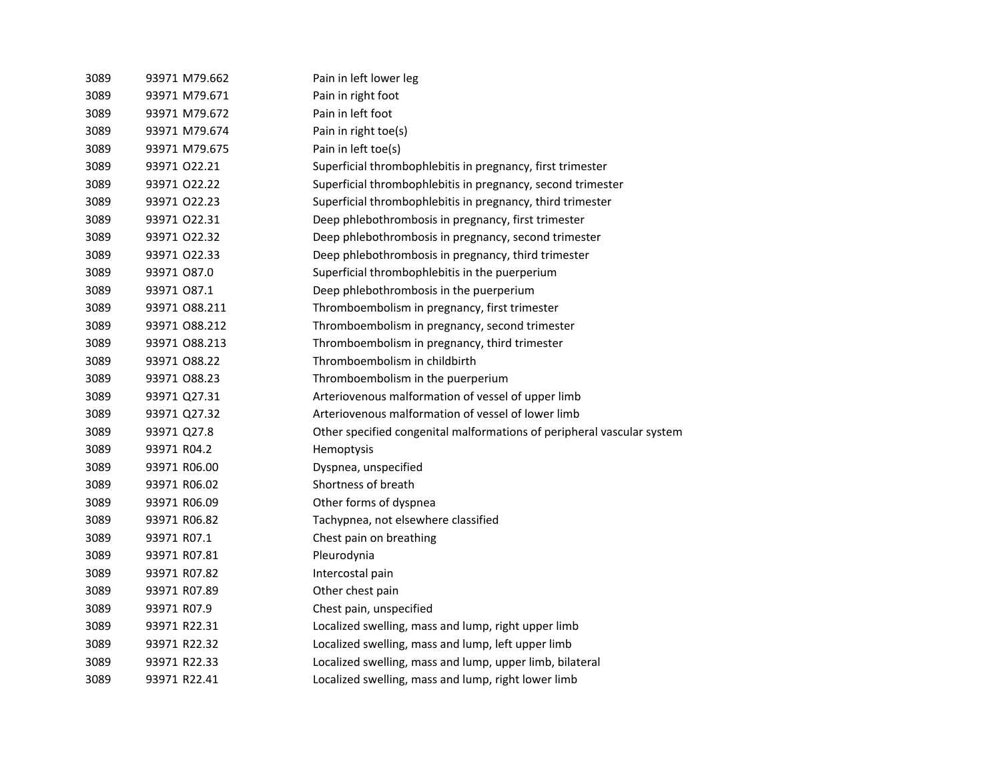| 3089 | 93971 M79.662 | Pain in left lower leg                                                 |
|------|---------------|------------------------------------------------------------------------|
| 3089 | 93971 M79.671 | Pain in right foot                                                     |
| 3089 | 93971 M79.672 | Pain in left foot                                                      |
| 3089 | 93971 M79.674 | Pain in right toe(s)                                                   |
| 3089 | 93971 M79.675 | Pain in left toe(s)                                                    |
| 3089 | 93971 022.21  | Superficial thrombophlebitis in pregnancy, first trimester             |
| 3089 | 93971 022.22  | Superficial thrombophlebitis in pregnancy, second trimester            |
| 3089 | 93971 022.23  | Superficial thrombophlebitis in pregnancy, third trimester             |
| 3089 | 93971 022.31  | Deep phlebothrombosis in pregnancy, first trimester                    |
| 3089 | 93971 022.32  | Deep phlebothrombosis in pregnancy, second trimester                   |
| 3089 | 93971 022.33  | Deep phlebothrombosis in pregnancy, third trimester                    |
| 3089 | 93971 087.0   | Superficial thrombophlebitis in the puerperium                         |
| 3089 | 93971 087.1   | Deep phlebothrombosis in the puerperium                                |
| 3089 | 93971 088.211 | Thromboembolism in pregnancy, first trimester                          |
| 3089 | 93971 088.212 | Thromboembolism in pregnancy, second trimester                         |
| 3089 | 93971 088.213 | Thromboembolism in pregnancy, third trimester                          |
| 3089 | 93971 088.22  | Thromboembolism in childbirth                                          |
| 3089 | 93971 088.23  | Thromboembolism in the puerperium                                      |
| 3089 | 93971 Q27.31  | Arteriovenous malformation of vessel of upper limb                     |
| 3089 | 93971 Q27.32  | Arteriovenous malformation of vessel of lower limb                     |
| 3089 | 93971 Q27.8   | Other specified congenital malformations of peripheral vascular system |
| 3089 | 93971 R04.2   | Hemoptysis                                                             |
| 3089 | 93971 R06.00  | Dyspnea, unspecified                                                   |
| 3089 | 93971 R06.02  | Shortness of breath                                                    |
| 3089 | 93971 R06.09  | Other forms of dyspnea                                                 |
| 3089 | 93971 R06.82  | Tachypnea, not elsewhere classified                                    |
| 3089 | 93971 R07.1   | Chest pain on breathing                                                |
| 3089 | 93971 R07.81  | Pleurodynia                                                            |
| 3089 | 93971 R07.82  | Intercostal pain                                                       |
| 3089 | 93971 R07.89  | Other chest pain                                                       |
| 3089 | 93971 R07.9   | Chest pain, unspecified                                                |
| 3089 | 93971 R22.31  | Localized swelling, mass and lump, right upper limb                    |
| 3089 | 93971 R22.32  | Localized swelling, mass and lump, left upper limb                     |
| 3089 | 93971 R22.33  | Localized swelling, mass and lump, upper limb, bilateral               |
| 3089 | 93971 R22.41  | Localized swelling, mass and lump, right lower limb                    |